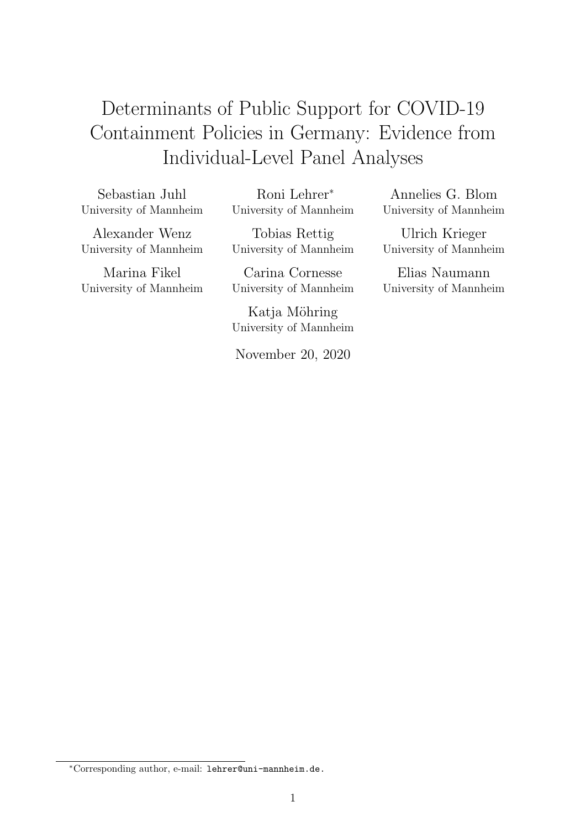# Determinants of Public Support for COVID-19 Containment Policies in Germany: Evidence from Individual-Level Panel Analyses

Sebastian Juhl University of Mannheim

Roni Lehrer<sup>∗</sup> University of Mannheim

Alexander Wenz University of Mannheim

Marina Fikel University of Mannheim

Tobias Rettig University of Mannheim

Carina Cornesse University of Mannheim

Katja Möhring University of Mannheim

November 20, 2020

Annelies G. Blom University of Mannheim

Ulrich Krieger University of Mannheim

Elias Naumann University of Mannheim

<sup>∗</sup>Corresponding author, e-mail: lehrer@uni-mannheim.de.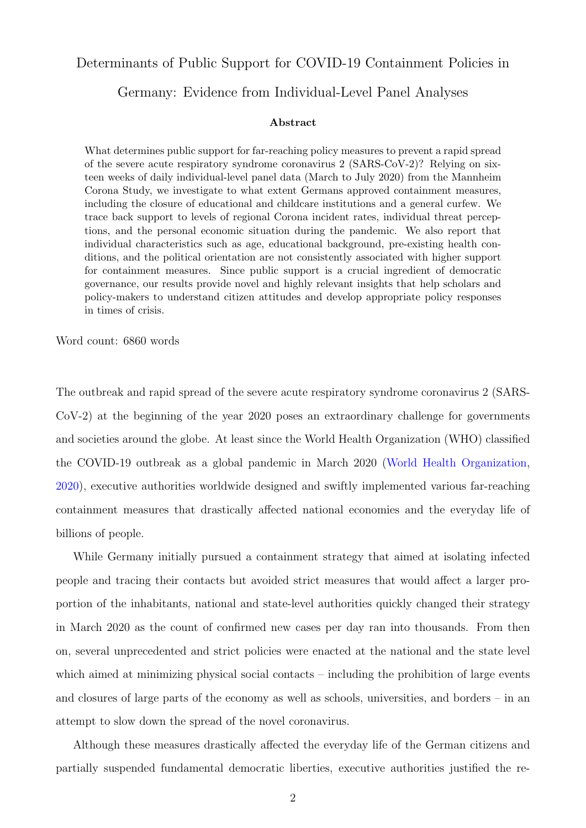## Determinants of Public Support for COVID-19 Containment Policies in

## Germany: Evidence from Individual-Level Panel Analyses

#### Abstract

What determines public support for far-reaching policy measures to prevent a rapid spread of the severe acute respiratory syndrome coronavirus 2 (SARS-CoV-2)? Relying on sixteen weeks of daily individual-level panel data (March to July 2020) from the Mannheim Corona Study, we investigate to what extent Germans approved containment measures, including the closure of educational and childcare institutions and a general curfew. We trace back support to levels of regional Corona incident rates, individual threat perceptions, and the personal economic situation during the pandemic. We also report that individual characteristics such as age, educational background, pre-existing health conditions, and the political orientation are not consistently associated with higher support for containment measures. Since public support is a crucial ingredient of democratic governance, our results provide novel and highly relevant insights that help scholars and policy-makers to understand citizen attitudes and develop appropriate policy responses in times of crisis.

Word count: 6860 words

The outbreak and rapid spread of the severe acute respiratory syndrome coronavirus 2 (SARS-CoV-2) at the beginning of the year 2020 poses an extraordinary challenge for governments and societies around the globe. At least since the World Health Organization (WHO) classified the COVID-19 outbreak as a global pandemic in March 2020 [\(World Health Organization,](#page-25-0) [2020\)](#page-25-0), executive authorities worldwide designed and swiftly implemented various far-reaching containment measures that drastically affected national economies and the everyday life of billions of people.

While Germany initially pursued a containment strategy that aimed at isolating infected people and tracing their contacts but avoided strict measures that would affect a larger proportion of the inhabitants, national and state-level authorities quickly changed their strategy in March 2020 as the count of confirmed new cases per day ran into thousands. From then on, several unprecedented and strict policies were enacted at the national and the state level which aimed at minimizing physical social contacts – including the prohibition of large events and closures of large parts of the economy as well as schools, universities, and borders – in an attempt to slow down the spread of the novel coronavirus.

Although these measures drastically affected the everyday life of the German citizens and partially suspended fundamental democratic liberties, executive authorities justified the re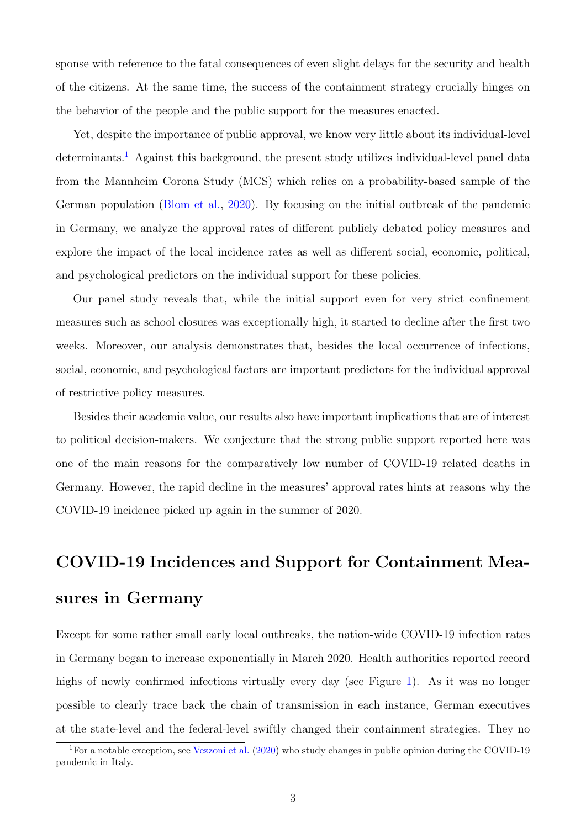sponse with reference to the fatal consequences of even slight delays for the security and health of the citizens. At the same time, the success of the containment strategy crucially hinges on the behavior of the people and the public support for the measures enacted.

Yet, despite the importance of public approval, we know very little about its individual-level determinants.<sup>[1](#page-2-0)</sup> Against this background, the present study utilizes individual-level panel data from the Mannheim Corona Study (MCS) which relies on a probability-based sample of the German population [\(Blom et al.,](#page-22-0) [2020\)](#page-22-0). By focusing on the initial outbreak of the pandemic in Germany, we analyze the approval rates of different publicly debated policy measures and explore the impact of the local incidence rates as well as different social, economic, political, and psychological predictors on the individual support for these policies.

Our panel study reveals that, while the initial support even for very strict confinement measures such as school closures was exceptionally high, it started to decline after the first two weeks. Moreover, our analysis demonstrates that, besides the local occurrence of infections, social, economic, and psychological factors are important predictors for the individual approval of restrictive policy measures.

Besides their academic value, our results also have important implications that are of interest to political decision-makers. We conjecture that the strong public support reported here was one of the main reasons for the comparatively low number of COVID-19 related deaths in Germany. However, the rapid decline in the measures' approval rates hints at reasons why the COVID-19 incidence picked up again in the summer of 2020.

# COVID-19 Incidences and Support for Containment Measures in Germany

Except for some rather small early local outbreaks, the nation-wide COVID-19 infection rates in Germany began to increase exponentially in March 2020. Health authorities reported record highs of newly confirmed infections virtually every day (see Figure [1\)](#page-3-0). As it was no longer possible to clearly trace back the chain of transmission in each instance, German executives at the state-level and the federal-level swiftly changed their containment strategies. They no

<span id="page-2-0"></span><sup>&</sup>lt;sup>1</sup>For a notable exception, see [Vezzoni et al.](#page-24-0) [\(2020\)](#page-24-0) who study changes in public opinion during the COVID-19 pandemic in Italy.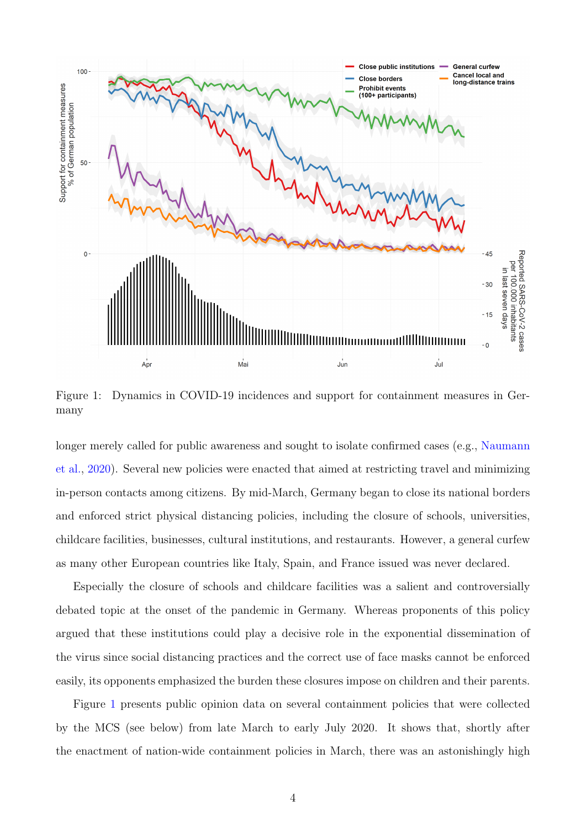<span id="page-3-0"></span>

Figure 1: Dynamics in COVID-19 incidences and support for containment measures in Germany

longer merely called for public awareness and sought to isolate confirmed cases (e.g., [Naumann](#page-23-0) [et al.,](#page-23-0) [2020\)](#page-23-0). Several new policies were enacted that aimed at restricting travel and minimizing in-person contacts among citizens. By mid-March, Germany began to close its national borders and enforced strict physical distancing policies, including the closure of schools, universities, childcare facilities, businesses, cultural institutions, and restaurants. However, a general curfew as many other European countries like Italy, Spain, and France issued was never declared.

Especially the closure of schools and childcare facilities was a salient and controversially debated topic at the onset of the pandemic in Germany. Whereas proponents of this policy argued that these institutions could play a decisive role in the exponential dissemination of the virus since social distancing practices and the correct use of face masks cannot be enforced easily, its opponents emphasized the burden these closures impose on children and their parents.

Figure [1](#page-3-0) presents public opinion data on several containment policies that were collected by the MCS (see below) from late March to early July 2020. It shows that, shortly after the enactment of nation-wide containment policies in March, there was an astonishingly high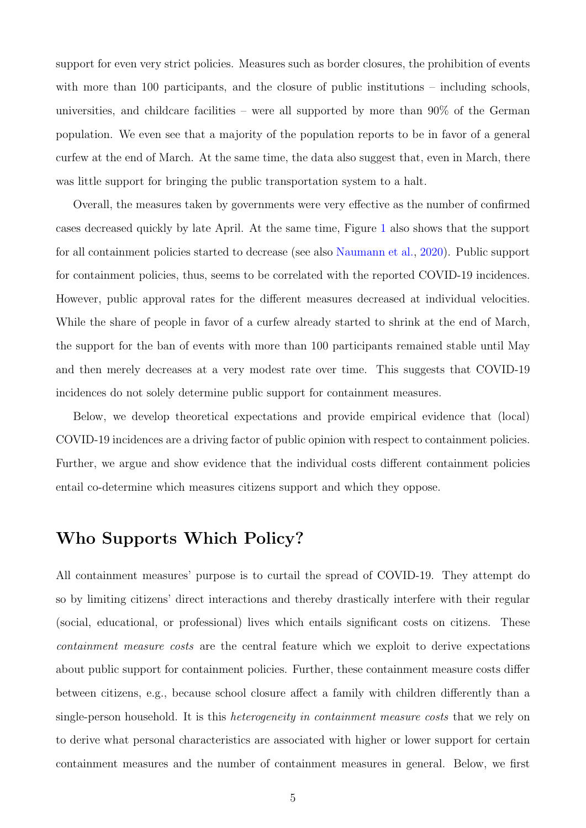support for even very strict policies. Measures such as border closures, the prohibition of events with more than 100 participants, and the closure of public institutions – including schools, universities, and childcare facilities – were all supported by more than 90% of the German population. We even see that a majority of the population reports to be in favor of a general curfew at the end of March. At the same time, the data also suggest that, even in March, there was little support for bringing the public transportation system to a halt.

Overall, the measures taken by governments were very effective as the number of confirmed cases decreased quickly by late April. At the same time, Figure [1](#page-3-0) also shows that the support for all containment policies started to decrease (see also [Naumann et al.,](#page-23-0) [2020\)](#page-23-0). Public support for containment policies, thus, seems to be correlated with the reported COVID-19 incidences. However, public approval rates for the different measures decreased at individual velocities. While the share of people in favor of a curfew already started to shrink at the end of March, the support for the ban of events with more than 100 participants remained stable until May and then merely decreases at a very modest rate over time. This suggests that COVID-19 incidences do not solely determine public support for containment measures.

Below, we develop theoretical expectations and provide empirical evidence that (local) COVID-19 incidences are a driving factor of public opinion with respect to containment policies. Further, we argue and show evidence that the individual costs different containment policies entail co-determine which measures citizens support and which they oppose.

# Who Supports Which Policy?

All containment measures' purpose is to curtail the spread of COVID-19. They attempt do so by limiting citizens' direct interactions and thereby drastically interfere with their regular (social, educational, or professional) lives which entails significant costs on citizens. These containment measure costs are the central feature which we exploit to derive expectations about public support for containment policies. Further, these containment measure costs differ between citizens, e.g., because school closure affect a family with children differently than a single-person household. It is this *heterogeneity in containment measure costs* that we rely on to derive what personal characteristics are associated with higher or lower support for certain containment measures and the number of containment measures in general. Below, we first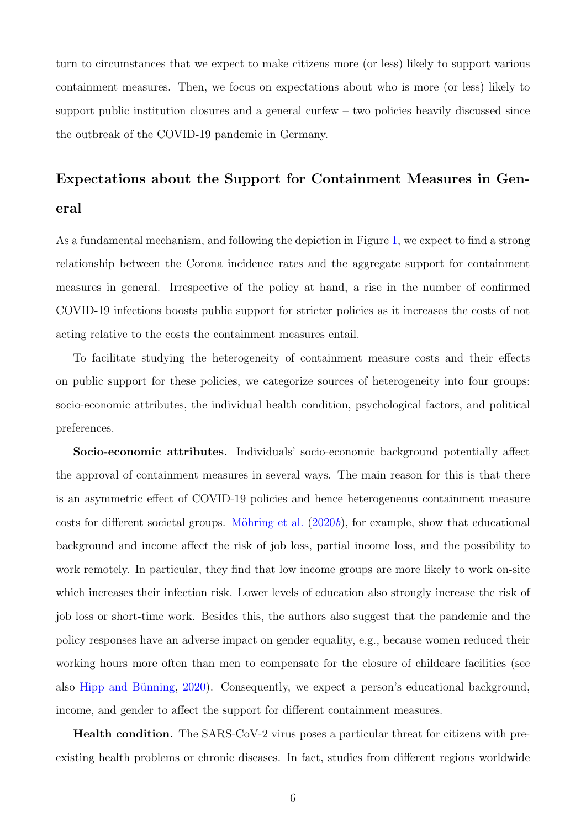turn to circumstances that we expect to make citizens more (or less) likely to support various containment measures. Then, we focus on expectations about who is more (or less) likely to support public institution closures and a general curfew – two policies heavily discussed since the outbreak of the COVID-19 pandemic in Germany.

# Expectations about the Support for Containment Measures in General

As a fundamental mechanism, and following the depiction in Figure [1,](#page-3-0) we expect to find a strong relationship between the Corona incidence rates and the aggregate support for containment measures in general. Irrespective of the policy at hand, a rise in the number of confirmed COVID-19 infections boosts public support for stricter policies as it increases the costs of not acting relative to the costs the containment measures entail.

To facilitate studying the heterogeneity of containment measure costs and their effects on public support for these policies, we categorize sources of heterogeneity into four groups: socio-economic attributes, the individual health condition, psychological factors, and political preferences.

Socio-economic attributes. Individuals' socio-economic background potentially affect the approval of containment measures in several ways. The main reason for this is that there is an asymmetric effect of COVID-19 policies and hence heterogeneous containment measure costs for different societal groups. Möhring et al.  $(2020b)$  $(2020b)$ , for example, show that educational background and income affect the risk of job loss, partial income loss, and the possibility to work remotely. In particular, they find that low income groups are more likely to work on-site which increases their infection risk. Lower levels of education also strongly increase the risk of job loss or short-time work. Besides this, the authors also suggest that the pandemic and the policy responses have an adverse impact on gender equality, e.g., because women reduced their working hours more often than men to compensate for the closure of childcare facilities (see also Hipp and Bünning, [2020\)](#page-23-2). Consequently, we expect a person's educational background, income, and gender to affect the support for different containment measures.

Health condition. The SARS-CoV-2 virus poses a particular threat for citizens with preexisting health problems or chronic diseases. In fact, studies from different regions worldwide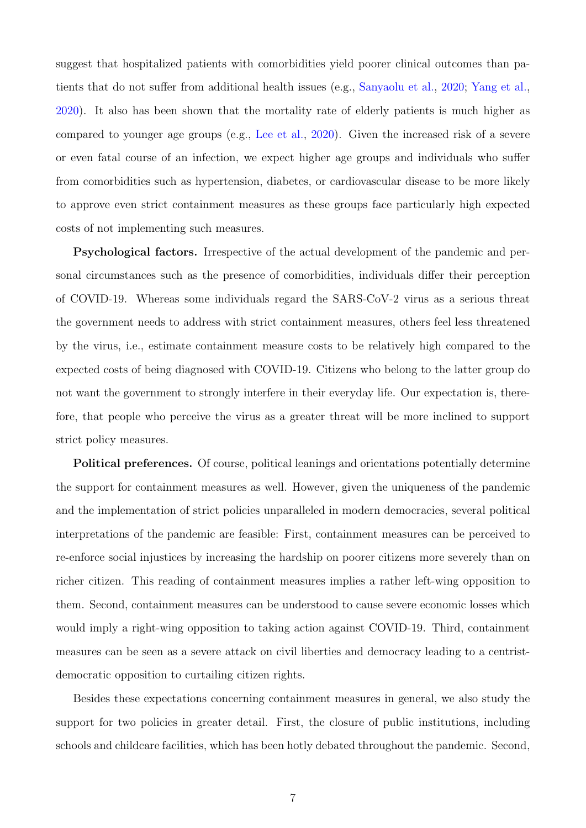suggest that hospitalized patients with comorbidities yield poorer clinical outcomes than patients that do not suffer from additional health issues (e.g., [Sanyaolu et al.,](#page-24-1) [2020;](#page-24-1) [Yang et al.,](#page-25-1) [2020\)](#page-25-1). It also has been shown that the mortality rate of elderly patients is much higher as compared to younger age groups (e.g., [Lee et al.,](#page-23-3) [2020\)](#page-23-3). Given the increased risk of a severe or even fatal course of an infection, we expect higher age groups and individuals who suffer from comorbidities such as hypertension, diabetes, or cardiovascular disease to be more likely to approve even strict containment measures as these groups face particularly high expected costs of not implementing such measures.

Psychological factors. Irrespective of the actual development of the pandemic and personal circumstances such as the presence of comorbidities, individuals differ their perception of COVID-19. Whereas some individuals regard the SARS-CoV-2 virus as a serious threat the government needs to address with strict containment measures, others feel less threatened by the virus, i.e., estimate containment measure costs to be relatively high compared to the expected costs of being diagnosed with COVID-19. Citizens who belong to the latter group do not want the government to strongly interfere in their everyday life. Our expectation is, therefore, that people who perceive the virus as a greater threat will be more inclined to support strict policy measures.

Political preferences. Of course, political leanings and orientations potentially determine the support for containment measures as well. However, given the uniqueness of the pandemic and the implementation of strict policies unparalleled in modern democracies, several political interpretations of the pandemic are feasible: First, containment measures can be perceived to re-enforce social injustices by increasing the hardship on poorer citizens more severely than on richer citizen. This reading of containment measures implies a rather left-wing opposition to them. Second, containment measures can be understood to cause severe economic losses which would imply a right-wing opposition to taking action against COVID-19. Third, containment measures can be seen as a severe attack on civil liberties and democracy leading to a centristdemocratic opposition to curtailing citizen rights.

Besides these expectations concerning containment measures in general, we also study the support for two policies in greater detail. First, the closure of public institutions, including schools and childcare facilities, which has been hotly debated throughout the pandemic. Second,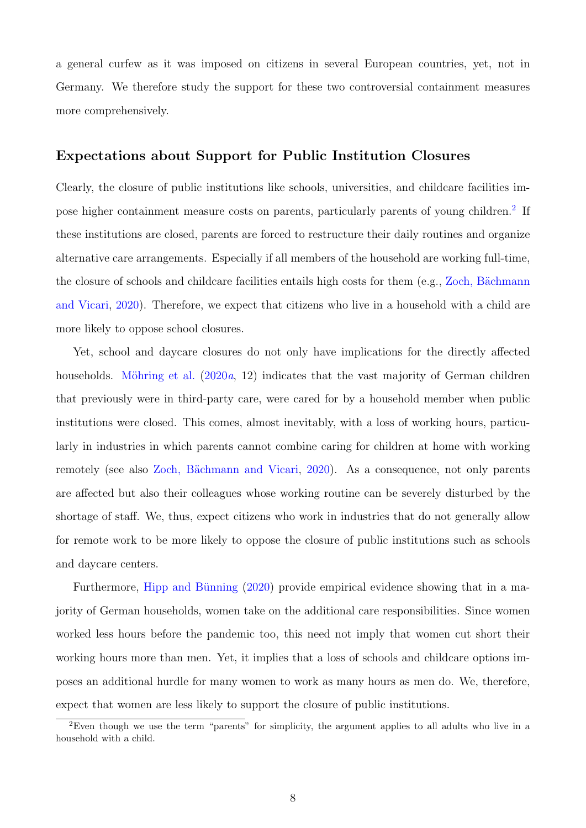a general curfew as it was imposed on citizens in several European countries, yet, not in Germany. We therefore study the support for these two controversial containment measures more comprehensively.

## Expectations about Support for Public Institution Closures

Clearly, the closure of public institutions like schools, universities, and childcare facilities im-pose higher containment measure costs on parents, particularly parents of young children.<sup>[2](#page-7-0)</sup> If these institutions are closed, parents are forced to restructure their daily routines and organize alternative care arrangements. Especially if all members of the household are working full-time, the closure of schools and childcare facilities entails high costs for them (e.g., Zoch, Bächmann [and Vicari,](#page-25-2) [2020\)](#page-25-2). Therefore, we expect that citizens who live in a household with a child are more likely to oppose school closures.

Yet, school and daycare closures do not only have implications for the directly affected households. Möhring et al.  $(2020a, 12)$  $(2020a, 12)$  indicates that the vast majority of German children that previously were in third-party care, were cared for by a household member when public institutions were closed. This comes, almost inevitably, with a loss of working hours, particularly in industries in which parents cannot combine caring for children at home with working remotely (see also Zoch, Bächmann and Vicari, [2020\)](#page-25-2). As a consequence, not only parents are affected but also their colleagues whose working routine can be severely disturbed by the shortage of staff. We, thus, expect citizens who work in industries that do not generally allow for remote work to be more likely to oppose the closure of public institutions such as schools and daycare centers.

Furthermore, Hipp and Bünning [\(2020\)](#page-23-2) provide empirical evidence showing that in a majority of German households, women take on the additional care responsibilities. Since women worked less hours before the pandemic too, this need not imply that women cut short their working hours more than men. Yet, it implies that a loss of schools and childcare options imposes an additional hurdle for many women to work as many hours as men do. We, therefore, expect that women are less likely to support the closure of public institutions.

<span id="page-7-0"></span><sup>2</sup>Even though we use the term "parents" for simplicity, the argument applies to all adults who live in a household with a child.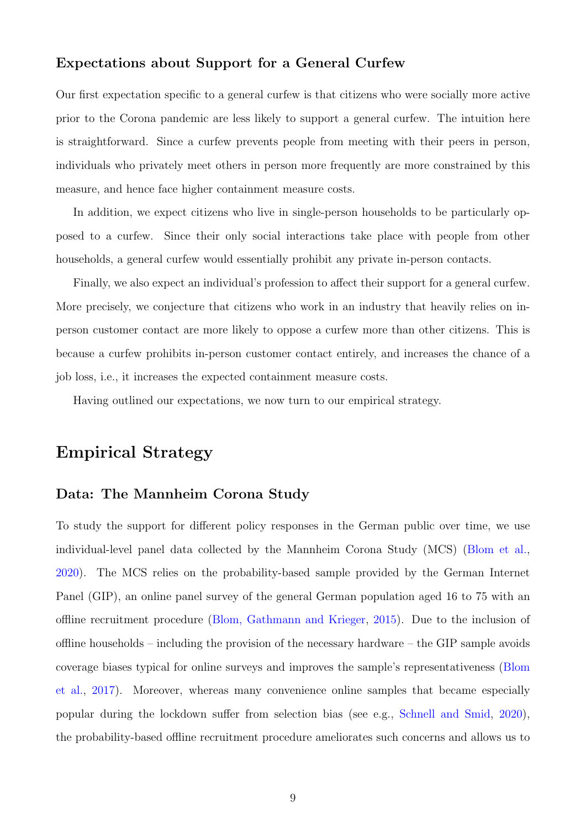## Expectations about Support for a General Curfew

Our first expectation specific to a general curfew is that citizens who were socially more active prior to the Corona pandemic are less likely to support a general curfew. The intuition here is straightforward. Since a curfew prevents people from meeting with their peers in person, individuals who privately meet others in person more frequently are more constrained by this measure, and hence face higher containment measure costs.

In addition, we expect citizens who live in single-person households to be particularly opposed to a curfew. Since their only social interactions take place with people from other households, a general curfew would essentially prohibit any private in-person contacts.

Finally, we also expect an individual's profession to affect their support for a general curfew. More precisely, we conjecture that citizens who work in an industry that heavily relies on inperson customer contact are more likely to oppose a curfew more than other citizens. This is because a curfew prohibits in-person customer contact entirely, and increases the chance of a job loss, i.e., it increases the expected containment measure costs.

Having outlined our expectations, we now turn to our empirical strategy.

## Empirical Strategy

## Data: The Mannheim Corona Study

To study the support for different policy responses in the German public over time, we use individual-level panel data collected by the Mannheim Corona Study (MCS) [\(Blom et al.,](#page-22-0) [2020\)](#page-22-0). The MCS relies on the probability-based sample provided by the German Internet Panel (GIP), an online panel survey of the general German population aged 16 to 75 with an offline recruitment procedure [\(Blom, Gathmann and Krieger,](#page-22-1) [2015\)](#page-22-1). Due to the inclusion of offline households – including the provision of the necessary hardware – the GIP sample avoids coverage biases typical for online surveys and improves the sample's representativeness [\(Blom](#page-22-2) [et al.,](#page-22-2) [2017\)](#page-22-2). Moreover, whereas many convenience online samples that became especially popular during the lockdown suffer from selection bias (see e.g., [Schnell and Smid,](#page-24-2) [2020\)](#page-24-2), the probability-based offline recruitment procedure ameliorates such concerns and allows us to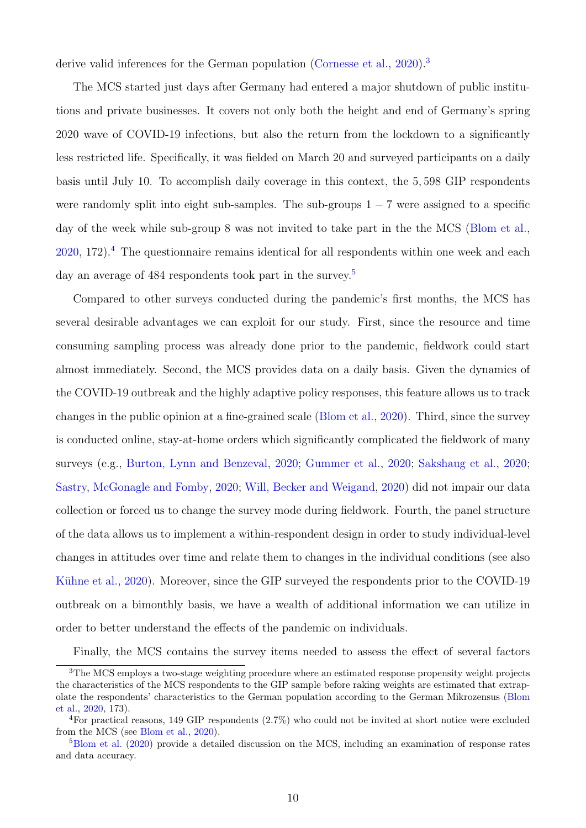derive valid inferences for the German population [\(Cornesse et al.,](#page-22-3) [2020\)](#page-22-3).<sup>[3](#page-9-0)</sup>

The MCS started just days after Germany had entered a major shutdown of public institutions and private businesses. It covers not only both the height and end of Germany's spring 2020 wave of COVID-19 infections, but also the return from the lockdown to a significantly less restricted life. Specifically, it was fielded on March 20 and surveyed participants on a daily basis until July 10. To accomplish daily coverage in this context, the 5, 598 GIP respondents were randomly split into eight sub-samples. The sub-groups  $1 - 7$  were assigned to a specific day of the week while sub-group 8 was not invited to take part in the the MCS [\(Blom et al.,](#page-22-0)  $2020$ , 172).<sup>[4](#page-9-1)</sup> The questionnaire remains identical for all respondents within one week and each day an average of 484 respondents took part in the survey.<sup>[5](#page-9-2)</sup>

Compared to other surveys conducted during the pandemic's first months, the MCS has several desirable advantages we can exploit for our study. First, since the resource and time consuming sampling process was already done prior to the pandemic, fieldwork could start almost immediately. Second, the MCS provides data on a daily basis. Given the dynamics of the COVID-19 outbreak and the highly adaptive policy responses, this feature allows us to track changes in the public opinion at a fine-grained scale [\(Blom et al.,](#page-22-0) [2020\)](#page-22-0). Third, since the survey is conducted online, stay-at-home orders which significantly complicated the fieldwork of many surveys (e.g., [Burton, Lynn and Benzeval,](#page-22-4) [2020;](#page-22-4) [Gummer et al.,](#page-22-5) [2020;](#page-22-5) [Sakshaug et al.,](#page-24-3) [2020;](#page-24-3) [Sastry, McGonagle and Fomby,](#page-24-4) [2020;](#page-24-4) [Will, Becker and Weigand,](#page-25-3) [2020\)](#page-25-3) did not impair our data collection or forced us to change the survey mode during fieldwork. Fourth, the panel structure of the data allows us to implement a within-respondent design in order to study individual-level changes in attitudes over time and relate them to changes in the individual conditions (see also Kühne et al., [2020\)](#page-23-5). Moreover, since the GIP surveyed the respondents prior to the COVID-19 outbreak on a bimonthly basis, we have a wealth of additional information we can utilize in order to better understand the effects of the pandemic on individuals.

<span id="page-9-0"></span>Finally, the MCS contains the survey items needed to assess the effect of several factors

<sup>3</sup>The MCS employs a two-stage weighting procedure where an estimated response propensity weight projects the characteristics of the MCS respondents to the GIP sample before raking weights are estimated that extrapolate the respondents' characteristics to the German population according to the German Mikrozensus [\(Blom](#page-22-0) [et al.,](#page-22-0) [2020,](#page-22-0) 173).

<span id="page-9-1"></span><sup>4</sup>For practical reasons, 149 GIP respondents (2.7%) who could not be invited at short notice were excluded from the MCS (see [Blom et al.,](#page-22-0) [2020\)](#page-22-0).

<span id="page-9-2"></span><sup>5</sup>[Blom et al.](#page-22-0) [\(2020\)](#page-22-0) provide a detailed discussion on the MCS, including an examination of response rates and data accuracy.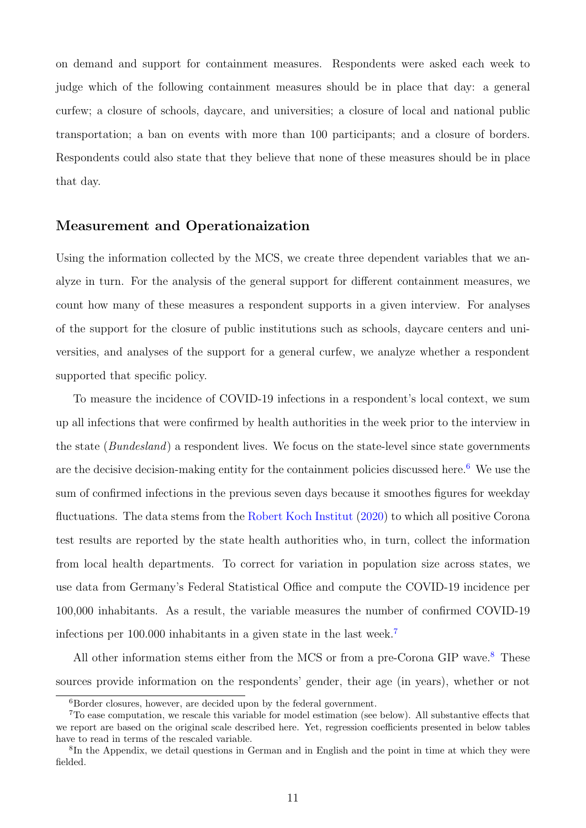on demand and support for containment measures. Respondents were asked each week to judge which of the following containment measures should be in place that day: a general curfew; a closure of schools, daycare, and universities; a closure of local and national public transportation; a ban on events with more than 100 participants; and a closure of borders. Respondents could also state that they believe that none of these measures should be in place that day.

#### Measurement and Operationaization

Using the information collected by the MCS, we create three dependent variables that we analyze in turn. For the analysis of the general support for different containment measures, we count how many of these measures a respondent supports in a given interview. For analyses of the support for the closure of public institutions such as schools, daycare centers and universities, and analyses of the support for a general curfew, we analyze whether a respondent supported that specific policy.

To measure the incidence of COVID-19 infections in a respondent's local context, we sum up all infections that were confirmed by health authorities in the week prior to the interview in the state (Bundesland) a respondent lives. We focus on the state-level since state governments are the decisive decision-making entity for the containment policies discussed here.<sup>[6](#page-10-0)</sup> We use the sum of confirmed infections in the previous seven days because it smoothes figures for weekday fluctuations. The data stems from the [Robert Koch Institut](#page-24-5) [\(2020\)](#page-24-5) to which all positive Corona test results are reported by the state health authorities who, in turn, collect the information from local health departments. To correct for variation in population size across states, we use data from Germany's Federal Statistical Office and compute the COVID-19 incidence per 100,000 inhabitants. As a result, the variable measures the number of confirmed COVID-19 infections per 100.000 inhabitants in a given state in the last week.[7](#page-10-1)

All other information stems either from the MCS or from a pre-Corona GIP wave.<sup>[8](#page-10-2)</sup> These sources provide information on the respondents' gender, their age (in years), whether or not

<span id="page-10-1"></span><span id="page-10-0"></span><sup>6</sup>Border closures, however, are decided upon by the federal government.

<sup>7</sup>To ease computation, we rescale this variable for model estimation (see below). All substantive effects that we report are based on the original scale described here. Yet, regression coefficients presented in below tables have to read in terms of the rescaled variable.

<span id="page-10-2"></span><sup>8</sup> In the Appendix, we detail questions in German and in English and the point in time at which they were fielded.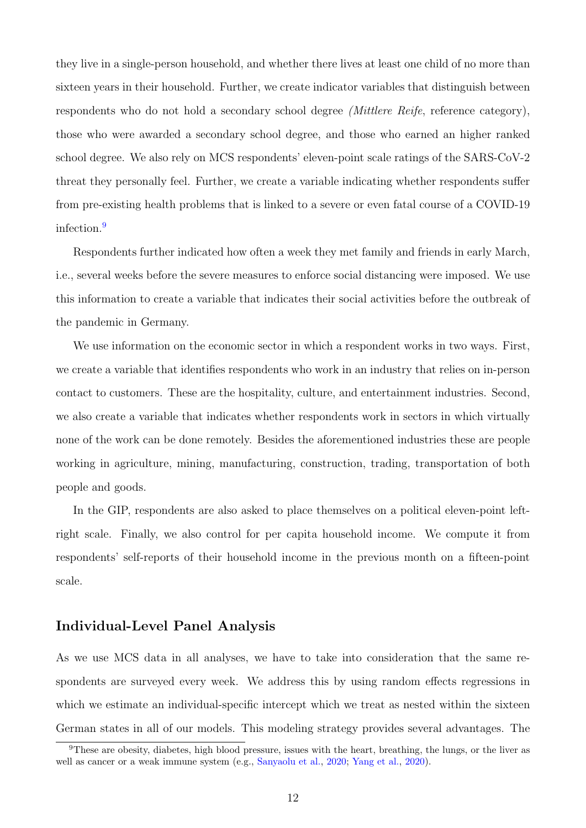they live in a single-person household, and whether there lives at least one child of no more than sixteen years in their household. Further, we create indicator variables that distinguish between respondents who do not hold a secondary school degree (Mittlere Reife, reference category), those who were awarded a secondary school degree, and those who earned an higher ranked school degree. We also rely on MCS respondents' eleven-point scale ratings of the SARS-CoV-2 threat they personally feel. Further, we create a variable indicating whether respondents suffer from pre-existing health problems that is linked to a severe or even fatal course of a COVID-19 infection.[9](#page-11-0)

Respondents further indicated how often a week they met family and friends in early March, i.e., several weeks before the severe measures to enforce social distancing were imposed. We use this information to create a variable that indicates their social activities before the outbreak of the pandemic in Germany.

We use information on the economic sector in which a respondent works in two ways. First, we create a variable that identifies respondents who work in an industry that relies on in-person contact to customers. These are the hospitality, culture, and entertainment industries. Second, we also create a variable that indicates whether respondents work in sectors in which virtually none of the work can be done remotely. Besides the aforementioned industries these are people working in agriculture, mining, manufacturing, construction, trading, transportation of both people and goods.

In the GIP, respondents are also asked to place themselves on a political eleven-point leftright scale. Finally, we also control for per capita household income. We compute it from respondents' self-reports of their household income in the previous month on a fifteen-point scale.

## Individual-Level Panel Analysis

As we use MCS data in all analyses, we have to take into consideration that the same respondents are surveyed every week. We address this by using random effects regressions in which we estimate an individual-specific intercept which we treat as nested within the sixteen German states in all of our models. This modeling strategy provides several advantages. The

<span id="page-11-0"></span><sup>9</sup>These are obesity, diabetes, high blood pressure, issues with the heart, breathing, the lungs, or the liver as well as cancer or a weak immune system (e.g., [Sanyaolu et al.,](#page-24-1) [2020;](#page-24-1) [Yang et al.,](#page-25-1) [2020\)](#page-25-1).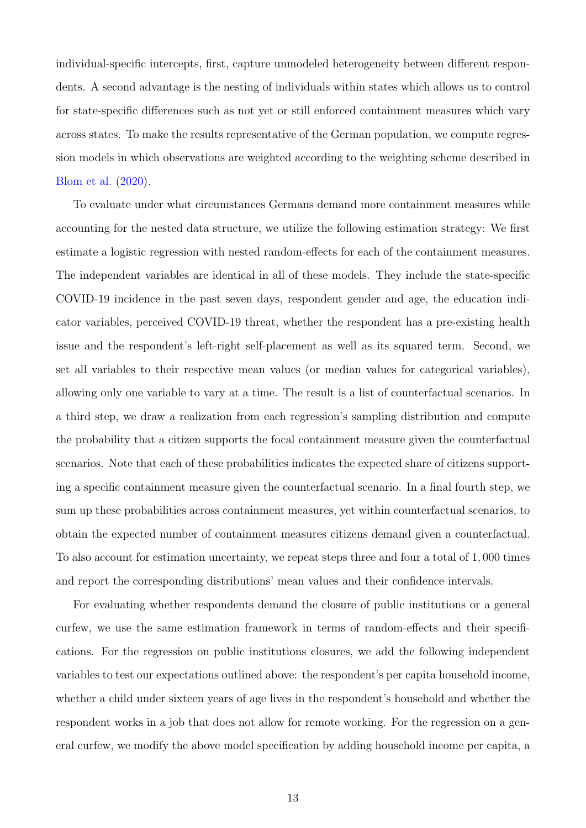individual-specific intercepts, first, capture unmodeled heterogeneity between different respondents. A second advantage is the nesting of individuals within states which allows us to control for state-specific differences such as not yet or still enforced containment measures which vary across states. To make the results representative of the German population, we compute regression models in which observations are weighted according to the weighting scheme described in [Blom et al.](#page-22-0) [\(2020\)](#page-22-0).

To evaluate under what circumstances Germans demand more containment measures while accounting for the nested data structure, we utilize the following estimation strategy: We first estimate a logistic regression with nested random-effects for each of the containment measures. The independent variables are identical in all of these models. They include the state-specific COVID-19 incidence in the past seven days, respondent gender and age, the education indicator variables, perceived COVID-19 threat, whether the respondent has a pre-existing health issue and the respondent's left-right self-placement as well as its squared term. Second, we set all variables to their respective mean values (or median values for categorical variables), allowing only one variable to vary at a time. The result is a list of counterfactual scenarios. In a third step, we draw a realization from each regression's sampling distribution and compute the probability that a citizen supports the focal containment measure given the counterfactual scenarios. Note that each of these probabilities indicates the expected share of citizens supporting a specific containment measure given the counterfactual scenario. In a final fourth step, we sum up these probabilities across containment measures, yet within counterfactual scenarios, to obtain the expected number of containment measures citizens demand given a counterfactual. To also account for estimation uncertainty, we repeat steps three and four a total of 1, 000 times and report the corresponding distributions' mean values and their confidence intervals.

For evaluating whether respondents demand the closure of public institutions or a general curfew, we use the same estimation framework in terms of random-effects and their specifications. For the regression on public institutions closures, we add the following independent variables to test our expectations outlined above: the respondent's per capita household income, whether a child under sixteen years of age lives in the respondent's household and whether the respondent works in a job that does not allow for remote working. For the regression on a general curfew, we modify the above model specification by adding household income per capita, a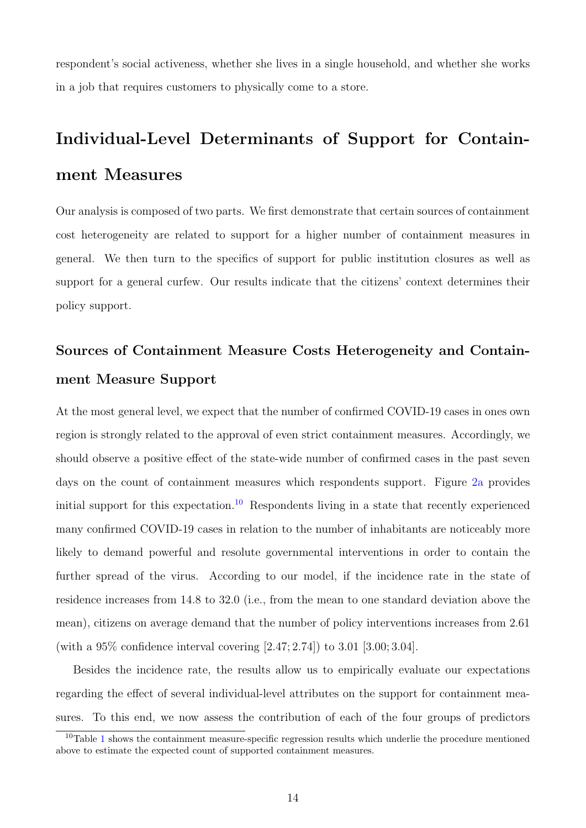respondent's social activeness, whether she lives in a single household, and whether she works in a job that requires customers to physically come to a store.

# Individual-Level Determinants of Support for Containment Measures

Our analysis is composed of two parts. We first demonstrate that certain sources of containment cost heterogeneity are related to support for a higher number of containment measures in general. We then turn to the specifics of support for public institution closures as well as support for a general curfew. Our results indicate that the citizens' context determines their policy support.

# Sources of Containment Measure Costs Heterogeneity and Containment Measure Support

At the most general level, we expect that the number of confirmed COVID-19 cases in ones own region is strongly related to the approval of even strict containment measures. Accordingly, we should observe a positive effect of the state-wide number of confirmed cases in the past seven days on the count of containment measures which respondents support. Figure [2a](#page-14-0) provides initial support for this expectation.<sup>[10](#page-13-0)</sup> Respondents living in a state that recently experienced many confirmed COVID-19 cases in relation to the number of inhabitants are noticeably more likely to demand powerful and resolute governmental interventions in order to contain the further spread of the virus. According to our model, if the incidence rate in the state of residence increases from 14.8 to 32.0 (i.e., from the mean to one standard deviation above the mean), citizens on average demand that the number of policy interventions increases from 2.61 (with a 95% confidence interval covering [2.47; 2.74]) to 3.01 [3.00; 3.04].

Besides the incidence rate, the results allow us to empirically evaluate our expectations regarding the effect of several individual-level attributes on the support for containment measures. To this end, we now assess the contribution of each of the four groups of predictors

<span id="page-13-0"></span> $10$  $10$ Table 1 shows the containment measure-specific regression results which underlie the procedure mentioned above to estimate the expected count of supported containment measures.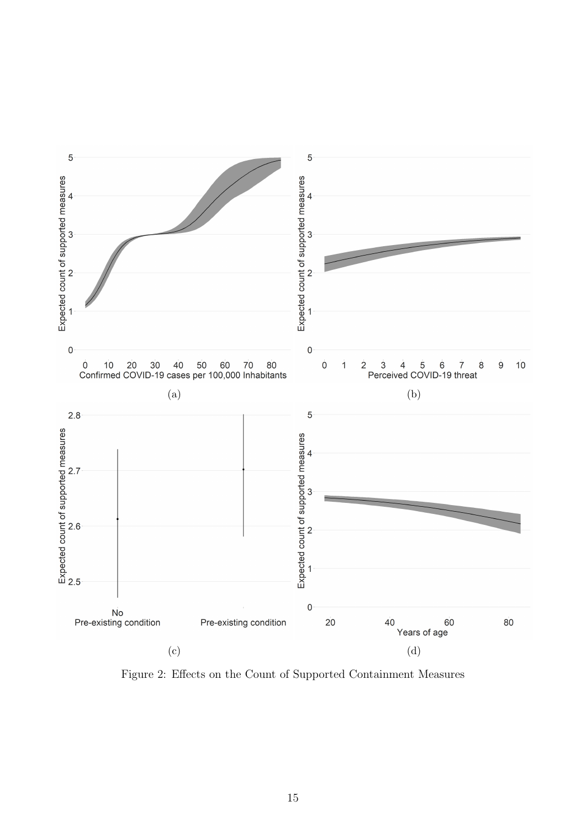<span id="page-14-0"></span>

Figure 2: Effects on the Count of Supported Containment Measures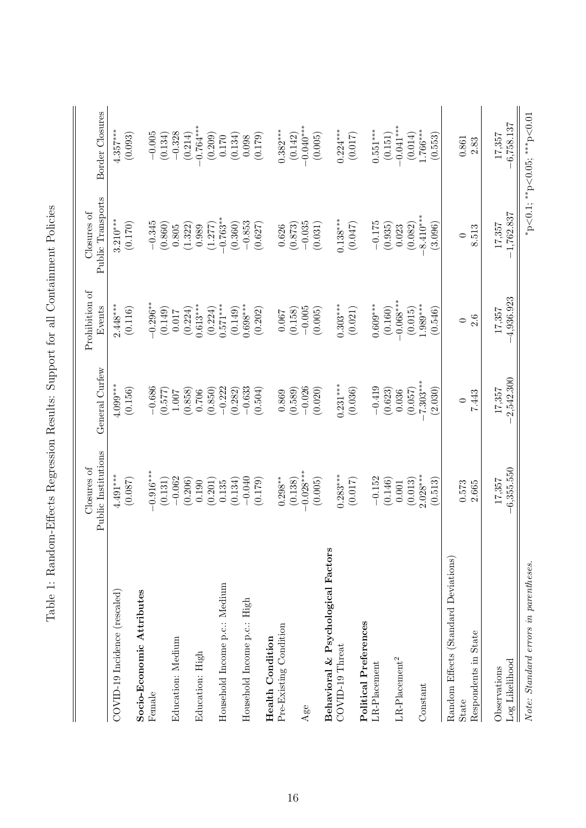<span id="page-15-0"></span>

|                                                                                                                                                                                                                                                                                                                | Closures of            |                     | Prohibition of         | Closures of            |                             |
|----------------------------------------------------------------------------------------------------------------------------------------------------------------------------------------------------------------------------------------------------------------------------------------------------------------|------------------------|---------------------|------------------------|------------------------|-----------------------------|
|                                                                                                                                                                                                                                                                                                                | Public Institutions    | General Curfew      | Events                 | Public Transports      | Border Closures             |
| COVID-19 Incidence (rescaled)                                                                                                                                                                                                                                                                                  | $4.491***$             | $4.099***$          | $2.448***$             | $3.210***$             | $4.357***$                  |
|                                                                                                                                                                                                                                                                                                                | (0.087)                | (0.156)             | (0.116)                | (0.170)                | (0.093)                     |
| Socio-Economic Attributes                                                                                                                                                                                                                                                                                      |                        |                     |                        |                        |                             |
| Female                                                                                                                                                                                                                                                                                                         | $0.916***$             | $-0.686$            | $-0.296***$            | $-0.345$               | $-0.005$                    |
|                                                                                                                                                                                                                                                                                                                | (0.131)                | (0.577)             | (0.149)                | (0.860)                | (0.134)                     |
| Education: Medium                                                                                                                                                                                                                                                                                              | $-0.062$               | 1.007               | 0.017                  | $0.805\,$              | $-0.328$                    |
|                                                                                                                                                                                                                                                                                                                | (0.206)                | (0.858)             | (0.224)                | (1.322)                | (0.214)                     |
| Education: High                                                                                                                                                                                                                                                                                                | 0.190                  | 0.706               | $0.613***$             | 0.989                  | $-0.764***$                 |
|                                                                                                                                                                                                                                                                                                                | (0.201)                | (0.850)             | (0.224)                | (1.277)                | (0.209)                     |
| Household Income p.c.: Medium                                                                                                                                                                                                                                                                                  | 0.135                  | $-0.222$            | $0.571***$             | $-0.763**$             | 0.170                       |
|                                                                                                                                                                                                                                                                                                                | (0.134)                | (0.282)             | (0.149)                | (0.360)                | (0.134)                     |
| Household Income p.c.: High                                                                                                                                                                                                                                                                                    | $-0.040$               | $-0.633$            | $0.698***$             | $-0.853$               | 0.098                       |
|                                                                                                                                                                                                                                                                                                                | (0.179)                | (0.504)             | (0.202)                | (0.627)                | (0.179)                     |
| <b>Health Condition</b>                                                                                                                                                                                                                                                                                        |                        |                     |                        |                        |                             |
| Pre-Existing Condition                                                                                                                                                                                                                                                                                         | $0.298***$             | 0.869               | 0.067                  | 0.626                  | $0.382***$                  |
|                                                                                                                                                                                                                                                                                                                | (0.138)                | (0.589)             | (0.158)                | (0.873)                | (0.142)                     |
| Age                                                                                                                                                                                                                                                                                                            | $-0.028***$            | $-0.026$            | $-0.005$               | $-0.035$               | $-0.040***$                 |
|                                                                                                                                                                                                                                                                                                                | (0.005)                | (0.020)             | (0.005)                | (0.031)                | (0.005)                     |
| Behavioral & Psychological Factors                                                                                                                                                                                                                                                                             |                        |                     |                        |                        |                             |
| COVID-19 Threat                                                                                                                                                                                                                                                                                                | $0.283***$             | $0.231***$          | $0.303***$             | $0.138***$             | $0.224***$                  |
|                                                                                                                                                                                                                                                                                                                | (0.017)                | (0.036)             | (0.021)                | (0.047)                | (0.017)                     |
| Political Preferences                                                                                                                                                                                                                                                                                          |                        |                     |                        |                        |                             |
| $LR$ -Placement                                                                                                                                                                                                                                                                                                | $-0.152$               | $-0.419$            | $0.609***$             | $-0.175$               | $0.551***$                  |
|                                                                                                                                                                                                                                                                                                                | (0.146)                | (0.623)             | (0.160)                | (0.935)                | (0.151)                     |
| $\ensuremath{\mbox{\textbf{L}}}\xspace\ensuremath{\mbox{\textbf{R}}}\xspace\ensuremath{\mbox{-}}\xspace\ensuremath{\mbox{\textbf{P}}}\xspace\ensuremath{\mbox{\textbf{la}}}\xspace\ensuremath{\mbox{e}}\xspace\ensuremath{\mbox{m}}\xspace\ensuremath{\mbox{e}}\xspace\ensuremath{\mbox{\textbf{h}}}\xspace^2$ | 0.001                  | 0.036               | $0.068***$             | 0.023                  | $0.041***$                  |
|                                                                                                                                                                                                                                                                                                                | (0.013)                | (0.057)             | (0.015)                | (0.082)                | (0.014)                     |
| Constant                                                                                                                                                                                                                                                                                                       | $2.028***$             | $7.303***$          | $1.989***$             | 8.410***               | $1.766***$                  |
|                                                                                                                                                                                                                                                                                                                | (0.513)                | (2.030)             | (0.546)                | (3.096)                | (0.553)                     |
| Random Effects (Standard Deviations)                                                                                                                                                                                                                                                                           |                        |                     |                        |                        |                             |
| State                                                                                                                                                                                                                                                                                                          | 0.573                  | $\circ$             | $\circ$                | $\circ$                | $\!0.861$                   |
| Respondents in State                                                                                                                                                                                                                                                                                           | 2.665                  | 7.443               | 2.6                    | 8.513                  | 2.83                        |
|                                                                                                                                                                                                                                                                                                                |                        |                     |                        |                        |                             |
| Log Likelihood<br>Observations                                                                                                                                                                                                                                                                                 | $-6,355.550$<br>17,357 | 2,542.300<br>17,357 | $-4,936.923$<br>17,357 | $-1,762.837$<br>17,357 | $-6,758.137$<br>17,357      |
|                                                                                                                                                                                                                                                                                                                |                        |                     |                        |                        |                             |
| Note: Standard errors in parentheses.                                                                                                                                                                                                                                                                          |                        |                     |                        |                        | *p<0.1; **p<0.05; ***p<0.01 |

Table 1: Random-Effects Regression Results: Support for all Containment Policies Table 1: Random-Effects Regression Results: Support for all Containment Policies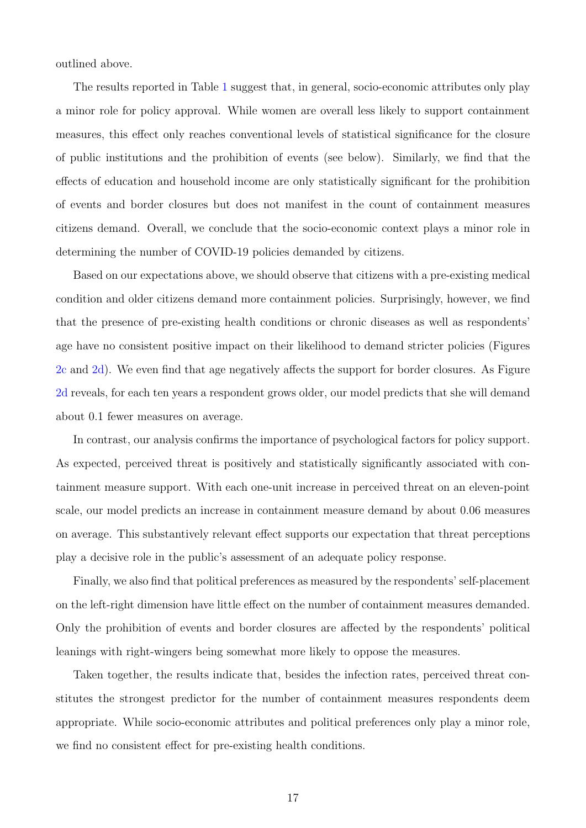outlined above.

The results reported in Table [1](#page-15-0) suggest that, in general, socio-economic attributes only play a minor role for policy approval. While women are overall less likely to support containment measures, this effect only reaches conventional levels of statistical significance for the closure of public institutions and the prohibition of events (see below). Similarly, we find that the effects of education and household income are only statistically significant for the prohibition of events and border closures but does not manifest in the count of containment measures citizens demand. Overall, we conclude that the socio-economic context plays a minor role in determining the number of COVID-19 policies demanded by citizens.

Based on our expectations above, we should observe that citizens with a pre-existing medical condition and older citizens demand more containment policies. Surprisingly, however, we find that the presence of pre-existing health conditions or chronic diseases as well as respondents' age have no consistent positive impact on their likelihood to demand stricter policies (Figures [2c](#page-14-0) and [2d\)](#page-14-0). We even find that age negatively affects the support for border closures. As Figure [2d](#page-14-0) reveals, for each ten years a respondent grows older, our model predicts that she will demand about 0.1 fewer measures on average.

In contrast, our analysis confirms the importance of psychological factors for policy support. As expected, perceived threat is positively and statistically significantly associated with containment measure support. With each one-unit increase in perceived threat on an eleven-point scale, our model predicts an increase in containment measure demand by about 0.06 measures on average. This substantively relevant effect supports our expectation that threat perceptions play a decisive role in the public's assessment of an adequate policy response.

Finally, we also find that political preferences as measured by the respondents' self-placement on the left-right dimension have little effect on the number of containment measures demanded. Only the prohibition of events and border closures are affected by the respondents' political leanings with right-wingers being somewhat more likely to oppose the measures.

Taken together, the results indicate that, besides the infection rates, perceived threat constitutes the strongest predictor for the number of containment measures respondents deem appropriate. While socio-economic attributes and political preferences only play a minor role, we find no consistent effect for pre-existing health conditions.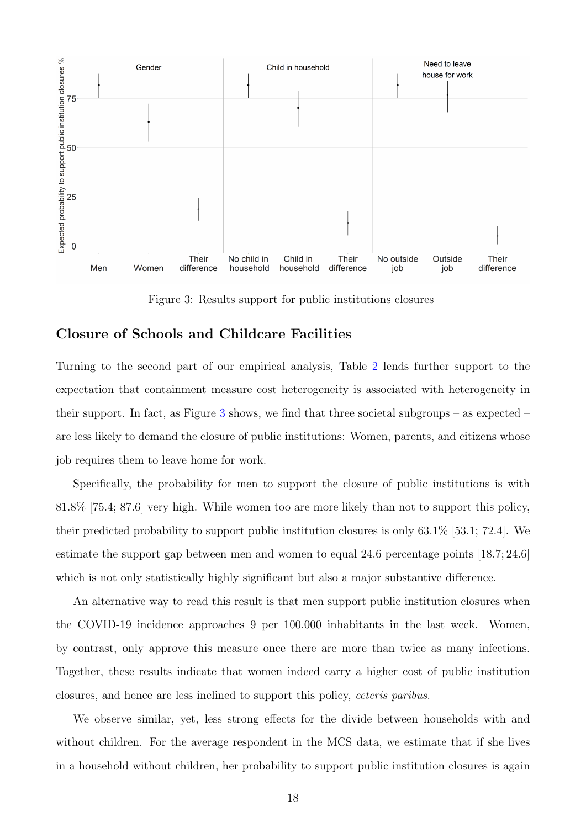<span id="page-17-0"></span>

Figure 3: Results support for public institutions closures

## Closure of Schools and Childcare Facilities

Turning to the second part of our empirical analysis, Table [2](#page-18-0) lends further support to the expectation that containment measure cost heterogeneity is associated with heterogeneity in their support. In fact, as Figure [3](#page-17-0) shows, we find that three societal subgroups – as expected – are less likely to demand the closure of public institutions: Women, parents, and citizens whose job requires them to leave home for work.

Specifically, the probability for men to support the closure of public institutions is with 81.8% [75.4; 87.6] very high. While women too are more likely than not to support this policy, their predicted probability to support public institution closures is only 63.1% [53.1; 72.4]. We estimate the support gap between men and women to equal 24.6 percentage points [18.7; 24.6] which is not only statistically highly significant but also a major substantive difference.

An alternative way to read this result is that men support public institution closures when the COVID-19 incidence approaches 9 per 100.000 inhabitants in the last week. Women, by contrast, only approve this measure once there are more than twice as many infections. Together, these results indicate that women indeed carry a higher cost of public institution closures, and hence are less inclined to support this policy, ceteris paribus.

We observe similar, yet, less strong effects for the divide between households with and without children. For the average respondent in the MCS data, we estimate that if she lives in a household without children, her probability to support public institution closures is again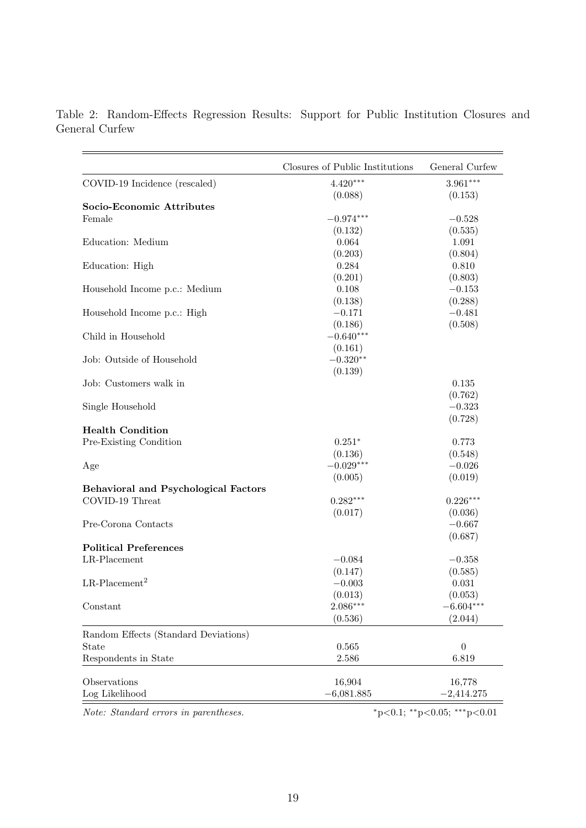|                                             | Closures of Public Institutions | General Curfew |
|---------------------------------------------|---------------------------------|----------------|
| COVID-19 Incidence (rescaled)               | $4.420***$                      | $3.961***$     |
|                                             | (0.088)                         | (0.153)        |
| Socio-Economic Attributes                   |                                 |                |
| Female                                      | $-0.974***$                     | $-0.528$       |
|                                             | (0.132)                         | (0.535)        |
| Education: Medium                           | 0.064                           | 1.091          |
|                                             | (0.203)                         | (0.804)        |
| Education: High                             | 0.284                           | 0.810          |
|                                             | (0.201)                         | (0.803)        |
| Household Income p.c.: Medium               | 0.108                           | $-0.153$       |
|                                             | (0.138)                         | (0.288)        |
| Household Income p.c.: High                 | $-0.171$                        | $-0.481$       |
|                                             | (0.186)                         | (0.508)        |
| Child in Household                          | $-0.640***$                     |                |
|                                             | (0.161)                         |                |
| Job: Outside of Household                   | $-0.320**$                      |                |
|                                             | (0.139)                         |                |
| Job: Customers walk in                      |                                 | 0.135          |
|                                             |                                 | (0.762)        |
| Single Household                            |                                 | $-0.323$       |
|                                             |                                 | (0.728)        |
| <b>Health Condition</b>                     |                                 |                |
| Pre-Existing Condition                      | $0.251*$                        | 0.773          |
|                                             | (0.136)                         | (0.548)        |
| Age                                         | $-0.029***$                     | $-0.026$       |
|                                             | (0.005)                         | (0.019)        |
| <b>Behavioral and Psychological Factors</b> |                                 |                |
| COVID-19 Threat                             | $0.282***$                      | $0.226***$     |
|                                             | (0.017)                         | (0.036)        |
| Pre-Corona Contacts                         |                                 | $-0.667$       |
|                                             |                                 | (0.687)        |
| <b>Political Preferences</b>                |                                 |                |
| LR-Placement                                | $-0.084$                        | $-0.358$       |
|                                             | (0.147)                         | (0.585)        |
| $LR$ -Placement <sup>2</sup>                | $-0.003$                        | 0.031          |
|                                             | (0.013)                         | (0.053)        |
| Constant                                    | $2.086***$                      | $-6.604***$    |
|                                             | (0.536)                         | (2.044)        |
| Random Effects (Standard Deviations)        |                                 |                |
| State                                       | 0.565                           | $\overline{0}$ |
| Respondents in State                        | 2.586                           | 6.819          |
|                                             |                                 |                |
| Observations                                | 16,904                          | 16,778         |
| Log Likelihood                              | $-6,081.885$                    | $-2,414.275$   |
|                                             |                                 |                |

<span id="page-18-0"></span>Table 2: Random-Effects Regression Results: Support for Public Institution Closures and General Curfew

Note: Standard errors in parentheses.  $*p<0.1; **p<0.05; **p<0.01$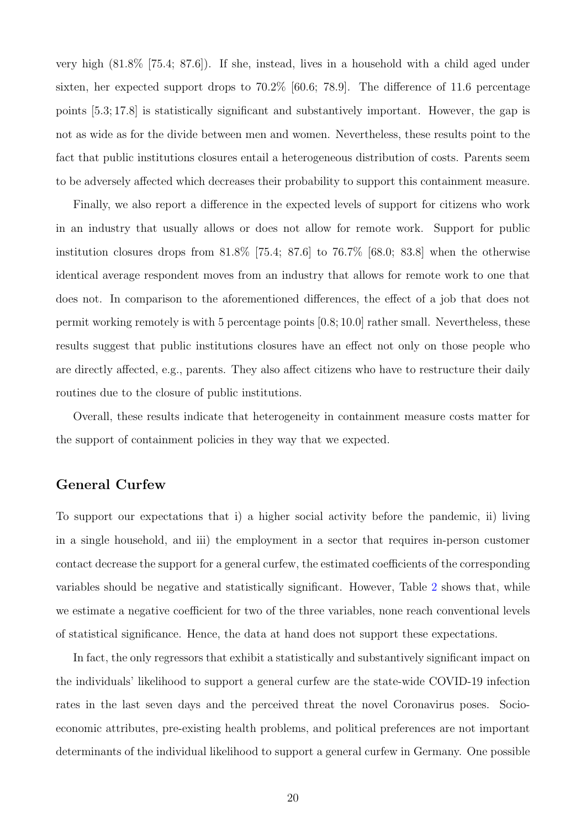very high (81.8% [75.4; 87.6]). If she, instead, lives in a household with a child aged under sixten, her expected support drops to 70.2% [60.6; 78.9]. The difference of 11.6 percentage points [5.3; 17.8] is statistically significant and substantively important. However, the gap is not as wide as for the divide between men and women. Nevertheless, these results point to the fact that public institutions closures entail a heterogeneous distribution of costs. Parents seem to be adversely affected which decreases their probability to support this containment measure.

Finally, we also report a difference in the expected levels of support for citizens who work in an industry that usually allows or does not allow for remote work. Support for public institution closures drops from  $81.8\%$  [75.4; 87.6] to 76.7% [68.0; 83.8] when the otherwise identical average respondent moves from an industry that allows for remote work to one that does not. In comparison to the aforementioned differences, the effect of a job that does not permit working remotely is with 5 percentage points  $[0.8; 10.0]$  rather small. Nevertheless, these results suggest that public institutions closures have an effect not only on those people who are directly affected, e.g., parents. They also affect citizens who have to restructure their daily routines due to the closure of public institutions.

Overall, these results indicate that heterogeneity in containment measure costs matter for the support of containment policies in they way that we expected.

### General Curfew

To support our expectations that i) a higher social activity before the pandemic, ii) living in a single household, and iii) the employment in a sector that requires in-person customer contact decrease the support for a general curfew, the estimated coefficients of the corresponding variables should be negative and statistically significant. However, Table [2](#page-18-0) shows that, while we estimate a negative coefficient for two of the three variables, none reach conventional levels of statistical significance. Hence, the data at hand does not support these expectations.

In fact, the only regressors that exhibit a statistically and substantively significant impact on the individuals' likelihood to support a general curfew are the state-wide COVID-19 infection rates in the last seven days and the perceived threat the novel Coronavirus poses. Socioeconomic attributes, pre-existing health problems, and political preferences are not important determinants of the individual likelihood to support a general curfew in Germany. One possible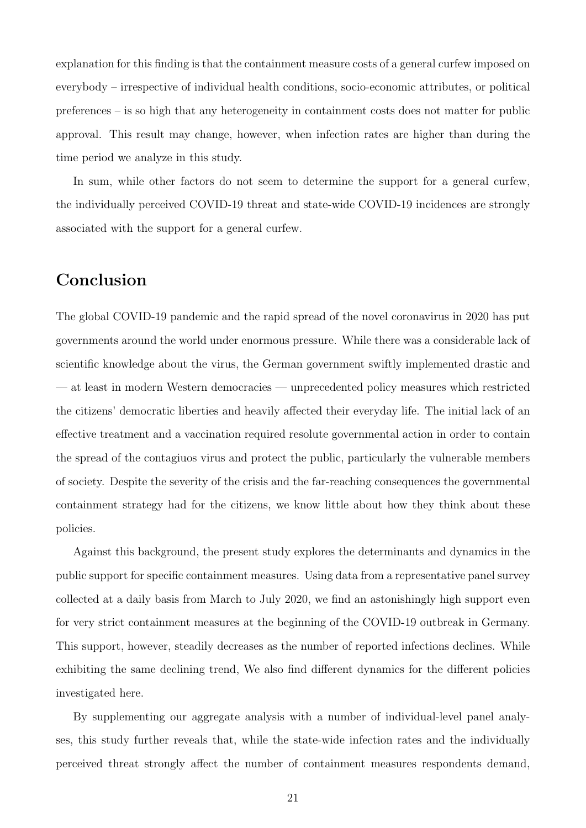explanation for this finding is that the containment measure costs of a general curfew imposed on everybody – irrespective of individual health conditions, socio-economic attributes, or political preferences – is so high that any heterogeneity in containment costs does not matter for public approval. This result may change, however, when infection rates are higher than during the time period we analyze in this study.

In sum, while other factors do not seem to determine the support for a general curfew, the individually perceived COVID-19 threat and state-wide COVID-19 incidences are strongly associated with the support for a general curfew.

# Conclusion

The global COVID-19 pandemic and the rapid spread of the novel coronavirus in 2020 has put governments around the world under enormous pressure. While there was a considerable lack of scientific knowledge about the virus, the German government swiftly implemented drastic and — at least in modern Western democracies — unprecedented policy measures which restricted the citizens' democratic liberties and heavily affected their everyday life. The initial lack of an effective treatment and a vaccination required resolute governmental action in order to contain the spread of the contagiuos virus and protect the public, particularly the vulnerable members of society. Despite the severity of the crisis and the far-reaching consequences the governmental containment strategy had for the citizens, we know little about how they think about these policies.

Against this background, the present study explores the determinants and dynamics in the public support for specific containment measures. Using data from a representative panel survey collected at a daily basis from March to July 2020, we find an astonishingly high support even for very strict containment measures at the beginning of the COVID-19 outbreak in Germany. This support, however, steadily decreases as the number of reported infections declines. While exhibiting the same declining trend, We also find different dynamics for the different policies investigated here.

By supplementing our aggregate analysis with a number of individual-level panel analyses, this study further reveals that, while the state-wide infection rates and the individually perceived threat strongly affect the number of containment measures respondents demand,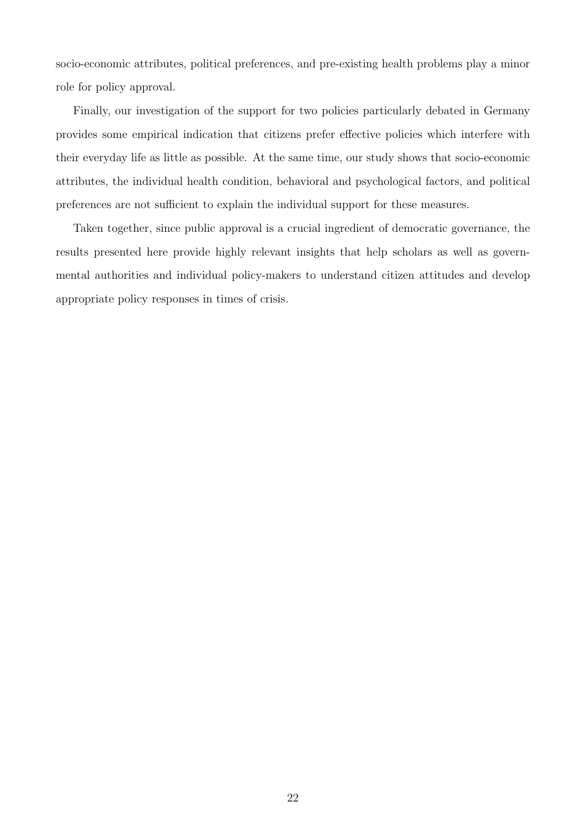socio-economic attributes, political preferences, and pre-existing health problems play a minor role for policy approval.

Finally, our investigation of the support for two policies particularly debated in Germany provides some empirical indication that citizens prefer effective policies which interfere with their everyday life as little as possible. At the same time, our study shows that socio-economic attributes, the individual health condition, behavioral and psychological factors, and political preferences are not sufficient to explain the individual support for these measures.

Taken together, since public approval is a crucial ingredient of democratic governance, the results presented here provide highly relevant insights that help scholars as well as governmental authorities and individual policy-makers to understand citizen attitudes and develop appropriate policy responses in times of crisis.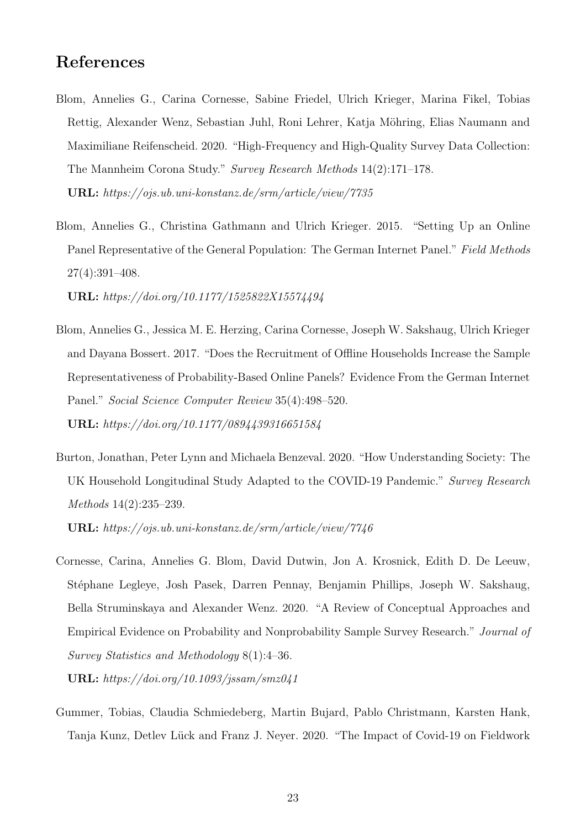## References

- <span id="page-22-0"></span>Blom, Annelies G., Carina Cornesse, Sabine Friedel, Ulrich Krieger, Marina Fikel, Tobias Rettig, Alexander Wenz, Sebastian Juhl, Roni Lehrer, Katja Möhring, Elias Naumann and Maximiliane Reifenscheid. 2020. "High-Frequency and High-Quality Survey Data Collection: The Mannheim Corona Study." Survey Research Methods 14(2):171–178. URL: https://ojs.ub.uni-konstanz.de/srm/article/view/7735
- <span id="page-22-1"></span>Blom, Annelies G., Christina Gathmann and Ulrich Krieger. 2015. "Setting Up an Online Panel Representative of the General Population: The German Internet Panel." Field Methods 27(4):391–408.

URL: https://doi.org/10.1177/1525822X15574494

- <span id="page-22-2"></span>Blom, Annelies G., Jessica M. E. Herzing, Carina Cornesse, Joseph W. Sakshaug, Ulrich Krieger and Dayana Bossert. 2017. "Does the Recruitment of Offline Households Increase the Sample Representativeness of Probability-Based Online Panels? Evidence From the German Internet Panel." Social Science Computer Review 35(4):498–520. URL: https://doi.org/10.1177/0894439316651584
- <span id="page-22-4"></span>Burton, Jonathan, Peter Lynn and Michaela Benzeval. 2020. "How Understanding Society: The UK Household Longitudinal Study Adapted to the COVID-19 Pandemic." Survey Research Methods 14(2):235–239.

URL: https://ojs.ub.uni-konstanz.de/srm/article/view/7746

<span id="page-22-3"></span>Cornesse, Carina, Annelies G. Blom, David Dutwin, Jon A. Krosnick, Edith D. De Leeuw, St´ephane Legleye, Josh Pasek, Darren Pennay, Benjamin Phillips, Joseph W. Sakshaug, Bella Struminskaya and Alexander Wenz. 2020. "A Review of Conceptual Approaches and Empirical Evidence on Probability and Nonprobability Sample Survey Research." Journal of Survey Statistics and Methodology 8(1):4–36.

URL: https://doi.org/10.1093/jssam/smz041

<span id="page-22-5"></span>Gummer, Tobias, Claudia Schmiedeberg, Martin Bujard, Pablo Christmann, Karsten Hank, Tanja Kunz, Detlev Lück and Franz J. Neyer. 2020. "The Impact of Covid-19 on Fieldwork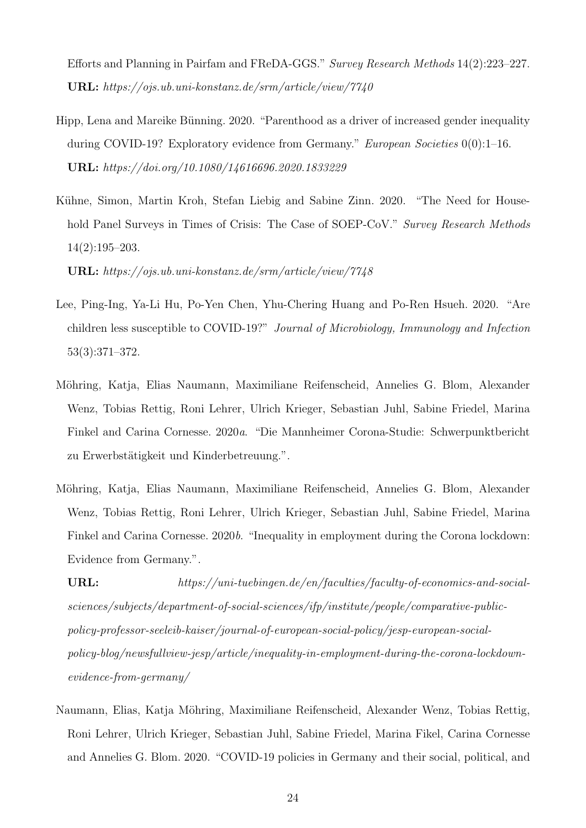Efforts and Planning in Pairfam and FReDA-GGS." Survey Research Methods 14(2):223–227. URL: https://ojs.ub.uni-konstanz.de/srm/article/view/7740

- <span id="page-23-2"></span>Hipp, Lena and Mareike Bünning. 2020. "Parenthood as a driver of increased gender inequality during COVID-19? Exploratory evidence from Germany." European Societies 0(0):1–16. URL: https://doi.org/10.1080/14616696.2020.1833229
- <span id="page-23-5"></span>Kühne, Simon, Martin Kroh, Stefan Liebig and Sabine Zinn. 2020. "The Need for Household Panel Surveys in Times of Crisis: The Case of SOEP-CoV." Survey Research Methods 14(2):195–203.

URL: https://ojs.ub.uni-konstanz.de/srm/article/view/7748

- <span id="page-23-3"></span>Lee, Ping-Ing, Ya-Li Hu, Po-Yen Chen, Yhu-Chering Huang and Po-Ren Hsueh. 2020. "Are children less susceptible to COVID-19?" Journal of Microbiology, Immunology and Infection 53(3):371–372.
- <span id="page-23-4"></span>M¨ohring, Katja, Elias Naumann, Maximiliane Reifenscheid, Annelies G. Blom, Alexander Wenz, Tobias Rettig, Roni Lehrer, Ulrich Krieger, Sebastian Juhl, Sabine Friedel, Marina Finkel and Carina Cornesse. 2020a. "Die Mannheimer Corona-Studie: Schwerpunktbericht zu Erwerbstätigkeit und Kinderbetreuung.".
- <span id="page-23-1"></span>Möhring, Katja, Elias Naumann, Maximiliane Reifenscheid, Annelies G. Blom, Alexander Wenz, Tobias Rettig, Roni Lehrer, Ulrich Krieger, Sebastian Juhl, Sabine Friedel, Marina Finkel and Carina Cornesse. 2020b. "Inequality in employment during the Corona lockdown: Evidence from Germany.".

URL: https://uni-tuebingen.de/en/faculties/faculty-of-economics-and-socialsciences/subjects/department-of-social-sciences/ifp/institute/people/comparative-publicpolicy-professor-seeleib-kaiser/journal-of-european-social-policy/jesp-european-socialpolicy-blog/newsfullview-jesp/article/inequality-in-employment-during-the-corona-lockdownevidence-from-germany/

<span id="page-23-0"></span>Naumann, Elias, Katja Möhring, Maximiliane Reifenscheid, Alexander Wenz, Tobias Rettig, Roni Lehrer, Ulrich Krieger, Sebastian Juhl, Sabine Friedel, Marina Fikel, Carina Cornesse and Annelies G. Blom. 2020. "COVID-19 policies in Germany and their social, political, and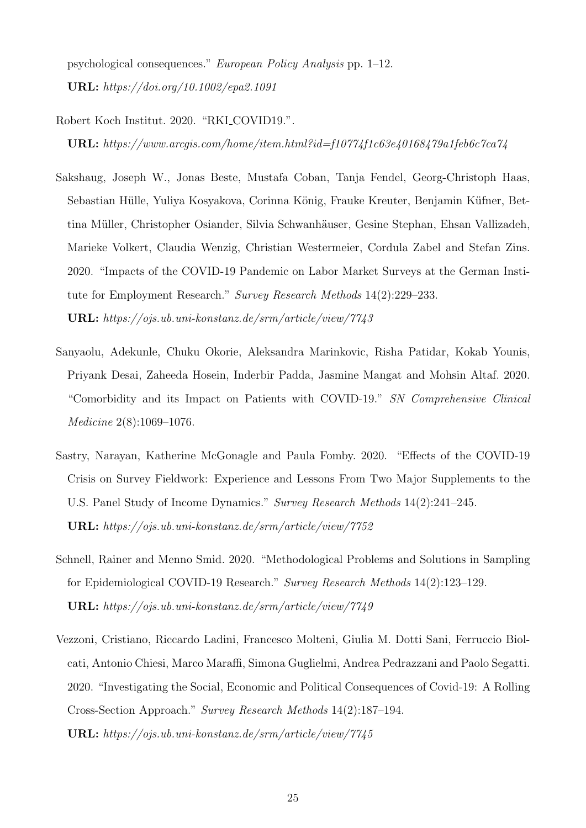psychological consequences." European Policy Analysis pp. 1–12. URL: https://doi.org/10.1002/epa2.1091

#### <span id="page-24-5"></span>Robert Koch Institut. 2020. "RKI COVID19.".

URL: https://www.arcgis.com/home/item.html?id=f10774f1c63e40168479a1feb6c7ca74

- <span id="page-24-3"></span>Sakshaug, Joseph W., Jonas Beste, Mustafa Coban, Tanja Fendel, Georg-Christoph Haas, Sebastian Hülle, Yuliya Kosyakova, Corinna König, Frauke Kreuter, Benjamin Küfner, Bettina Müller, Christopher Osiander, Silvia Schwanhäuser, Gesine Stephan, Ehsan Vallizadeh, Marieke Volkert, Claudia Wenzig, Christian Westermeier, Cordula Zabel and Stefan Zins. 2020. "Impacts of the COVID-19 Pandemic on Labor Market Surveys at the German Institute for Employment Research." Survey Research Methods 14(2):229–233. URL: https://ojs.ub.uni-konstanz.de/srm/article/view/7743
- <span id="page-24-1"></span>Sanyaolu, Adekunle, Chuku Okorie, Aleksandra Marinkovic, Risha Patidar, Kokab Younis, Priyank Desai, Zaheeda Hosein, Inderbir Padda, Jasmine Mangat and Mohsin Altaf. 2020. "Comorbidity and its Impact on Patients with COVID-19." SN Comprehensive Clinical Medicine 2(8):1069–1076.
- <span id="page-24-4"></span>Sastry, Narayan, Katherine McGonagle and Paula Fomby. 2020. "Effects of the COVID-19 Crisis on Survey Fieldwork: Experience and Lessons From Two Major Supplements to the U.S. Panel Study of Income Dynamics." Survey Research Methods 14(2):241–245. URL: https://ojs.ub.uni-konstanz.de/srm/article/view/7752
- <span id="page-24-2"></span>Schnell, Rainer and Menno Smid. 2020. "Methodological Problems and Solutions in Sampling for Epidemiological COVID-19 Research." Survey Research Methods 14(2):123–129. URL: https://ojs.ub.uni-konstanz.de/srm/article/view/7749
- <span id="page-24-0"></span>Vezzoni, Cristiano, Riccardo Ladini, Francesco Molteni, Giulia M. Dotti Sani, Ferruccio Biolcati, Antonio Chiesi, Marco Maraffi, Simona Guglielmi, Andrea Pedrazzani and Paolo Segatti. 2020. "Investigating the Social, Economic and Political Consequences of Covid-19: A Rolling Cross-Section Approach." Survey Research Methods 14(2):187–194. URL: https://ojs.ub.uni-konstanz.de/srm/article/view/7745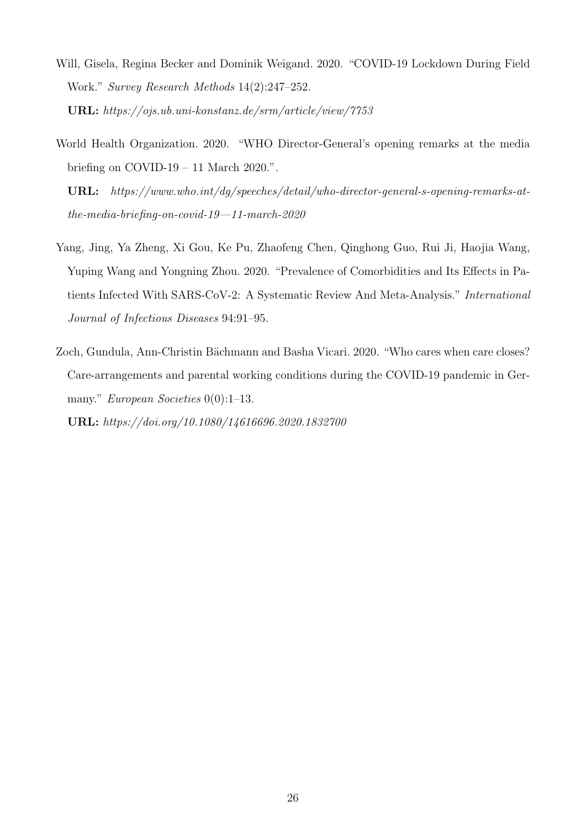- <span id="page-25-3"></span>Will, Gisela, Regina Becker and Dominik Weigand. 2020. "COVID-19 Lockdown During Field Work." Survey Research Methods 14(2):247–252. URL: https://ojs.ub.uni-konstanz.de/srm/article/view/7753
- <span id="page-25-0"></span>World Health Organization. 2020. "WHO Director-General's opening remarks at the media briefing on COVID-19 – 11 March 2020.".
	- URL: https://www.who.int/dg/speeches/detail/who-director-general-s-opening-remarks-atthe-media-briefing-on-covid-19—11-march-2020
- <span id="page-25-1"></span>Yang, Jing, Ya Zheng, Xi Gou, Ke Pu, Zhaofeng Chen, Qinghong Guo, Rui Ji, Haojia Wang, Yuping Wang and Yongning Zhou. 2020. "Prevalence of Comorbidities and Its Effects in Patients Infected With SARS-CoV-2: A Systematic Review And Meta-Analysis." International Journal of Infectious Diseases 94:91–95.
- <span id="page-25-2"></span>Zoch, Gundula, Ann-Christin Bächmann and Basha Vicari. 2020. "Who cares when care closes? Care-arrangements and parental working conditions during the COVID-19 pandemic in Germany." European Societies  $0(0)$ :1–13. URL: https://doi.org/10.1080/14616696.2020.1832700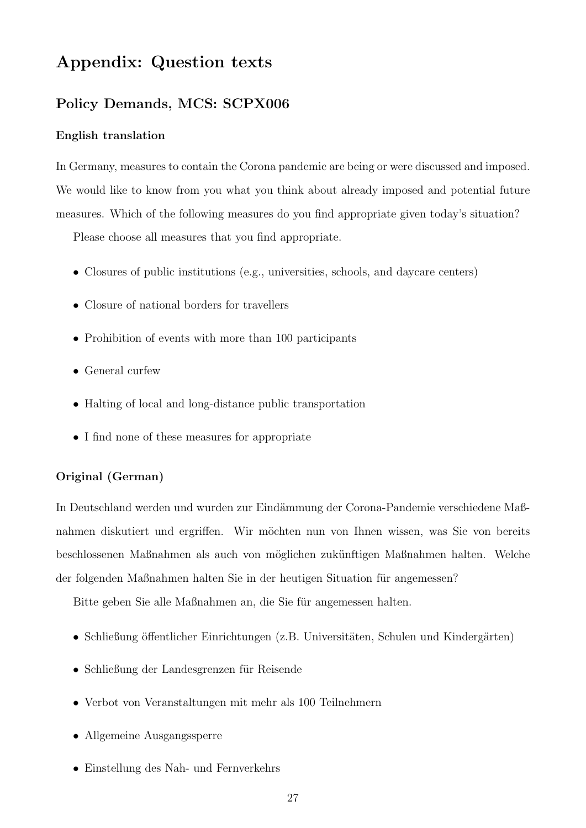# Appendix: Question texts

## Policy Demands, MCS: SCPX006

#### English translation

In Germany, measures to contain the Corona pandemic are being or were discussed and imposed. We would like to know from you what you think about already imposed and potential future measures. Which of the following measures do you find appropriate given today's situation?

Please choose all measures that you find appropriate.

- Closures of public institutions (e.g., universities, schools, and daycare centers)
- Closure of national borders for travellers
- Prohibition of events with more than 100 participants
- General curfew
- Halting of local and long-distance public transportation
- I find none of these measures for appropriate

#### Original (German)

In Deutschland werden und wurden zur Eindämmung der Corona-Pandemie verschiedene Maßnahmen diskutiert und ergriffen. Wir möchten nun von Ihnen wissen, was Sie von bereits beschlossenen Maßnahmen als auch von möglichen zukünftigen Maßnahmen halten. Welche der folgenden Maßnahmen halten Sie in der heutigen Situation für angemessen?

Bitte geben Sie alle Maßnahmen an, die Sie für angemessen halten.

- Schließung öffentlicher Einrichtungen (z.B. Universitäten, Schulen und Kindergärten)
- Schließung der Landesgrenzen für Reisende
- Verbot von Veranstaltungen mit mehr als 100 Teilnehmern
- Allgemeine Ausgangssperre
- Einstellung des Nah- und Fernverkehrs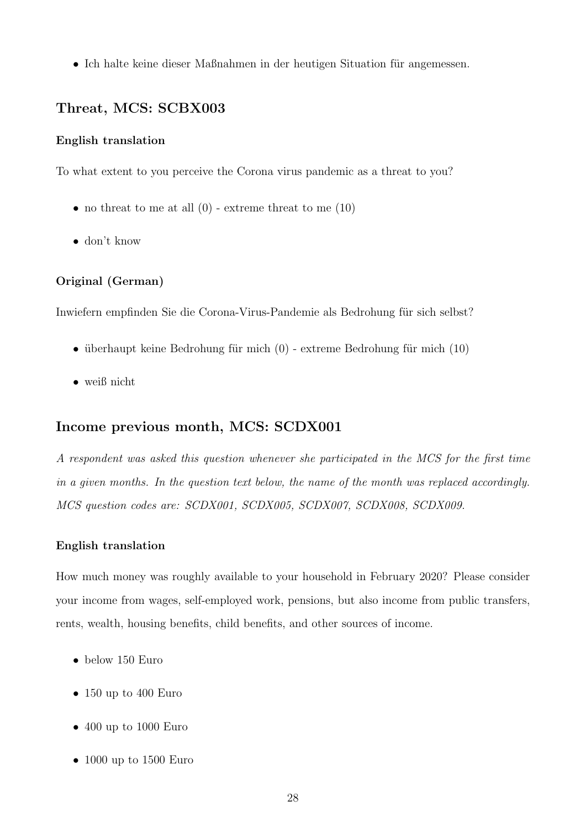• Ich halte keine dieser Maßnahmen in der heutigen Situation für angemessen.

## Threat, MCS: SCBX003

#### English translation

To what extent to you perceive the Corona virus pandemic as a threat to you?

- no threat to me at all  $(0)$  extreme threat to me  $(10)$
- don't know

## Original (German)

Inwiefern empfinden Sie die Corona-Virus-Pandemie als Bedrohung für sich selbst?

- überhaupt keine Bedrohung für mich  $(0)$  extreme Bedrohung für mich  $(10)$
- weiß nicht

## Income previous month, MCS: SCDX001

A respondent was asked this question whenever she participated in the MCS for the first time in a given months. In the question text below, the name of the month was replaced accordingly. MCS question codes are: SCDX001, SCDX005, SCDX007, SCDX008, SCDX009.

#### English translation

How much money was roughly available to your household in February 2020? Please consider your income from wages, self-employed work, pensions, but also income from public transfers, rents, wealth, housing benefits, child benefits, and other sources of income.

- below 150 Euro
- 150 up to 400 Euro
- 400 up to 1000 Euro
- 1000 up to 1500 Euro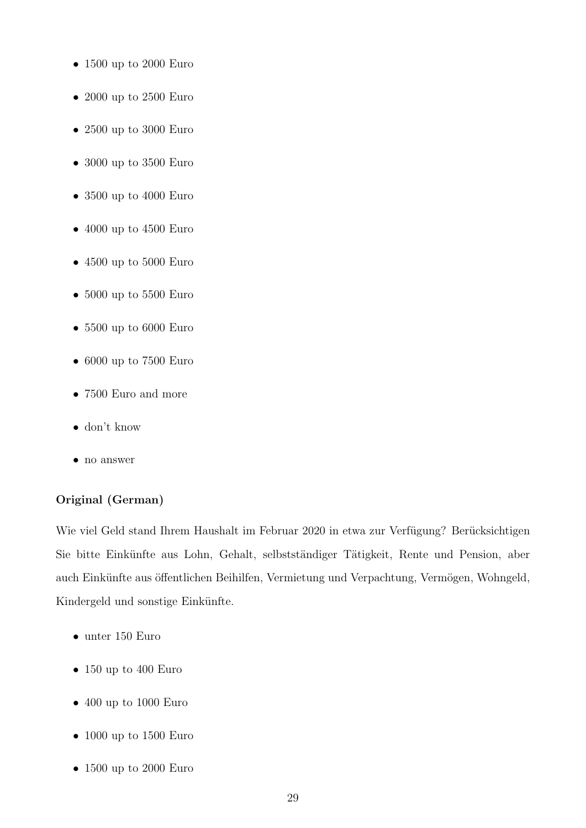- 1500 up to 2000 Euro
- 2000 up to 2500 Euro
- 2500 up to 3000 Euro
- 3000 up to 3500 Euro
- 3500 up to 4000 Euro
- 4000 up to 4500 Euro
- 4500 up to 5000 Euro
- 5000 up to 5500 Euro
- 5500 up to 6000 Euro
- 6000 up to 7500 Euro
- 7500 Euro and more
- don't know
- no answer

## Original (German)

Wie viel Geld stand Ihrem Haushalt im Februar 2020 in etwa zur Verfügung? Berücksichtigen Sie bitte Einkünfte aus Lohn, Gehalt, selbstständiger Tätigkeit, Rente und Pension, aber auch Einkünfte aus öffentlichen Beihilfen, Vermietung und Verpachtung, Vermögen, Wohngeld, Kindergeld und sonstige Einkünfte.

- unter 150 Euro
- 150 up to 400 Euro
- 400 up to 1000 Euro
- 1000 up to 1500 Euro
- 1500 up to 2000 Euro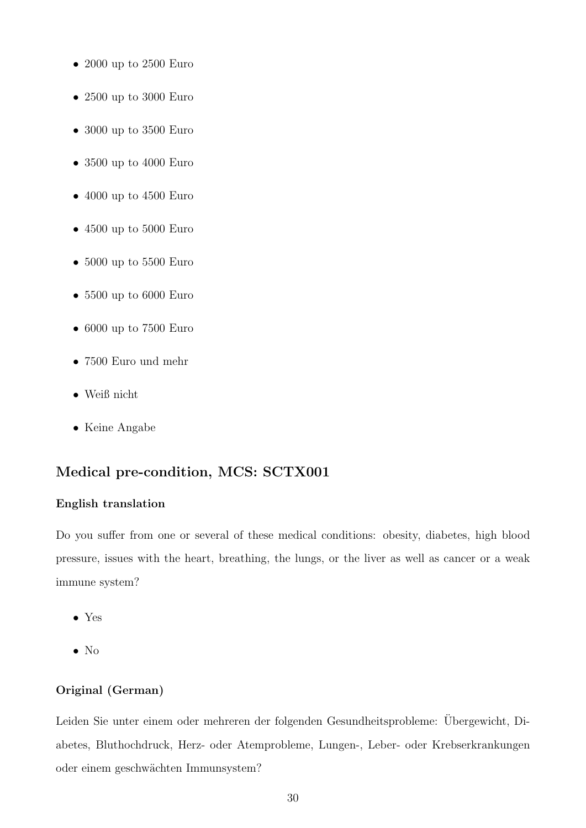- 2000 up to 2500 Euro
- 2500 up to 3000 Euro
- 3000 up to 3500 Euro
- 3500 up to 4000 Euro
- 4000 up to 4500 Euro
- 4500 up to 5000 Euro
- 5000 up to 5500 Euro
- 5500 up to 6000 Euro
- 6000 up to 7500 Euro
- 7500 Euro und mehr
- Weiß nicht
- Keine Angabe

## Medical pre-condition, MCS: SCTX001

#### English translation

Do you suffer from one or several of these medical conditions: obesity, diabetes, high blood pressure, issues with the heart, breathing, the lungs, or the liver as well as cancer or a weak immune system?

- Yes
- No

### Original (German)

Leiden Sie unter einem oder mehreren der folgenden Gesundheitsprobleme: Übergewicht, Diabetes, Bluthochdruck, Herz- oder Atemprobleme, Lungen-, Leber- oder Krebserkrankungen oder einem geschw¨achten Immunsystem?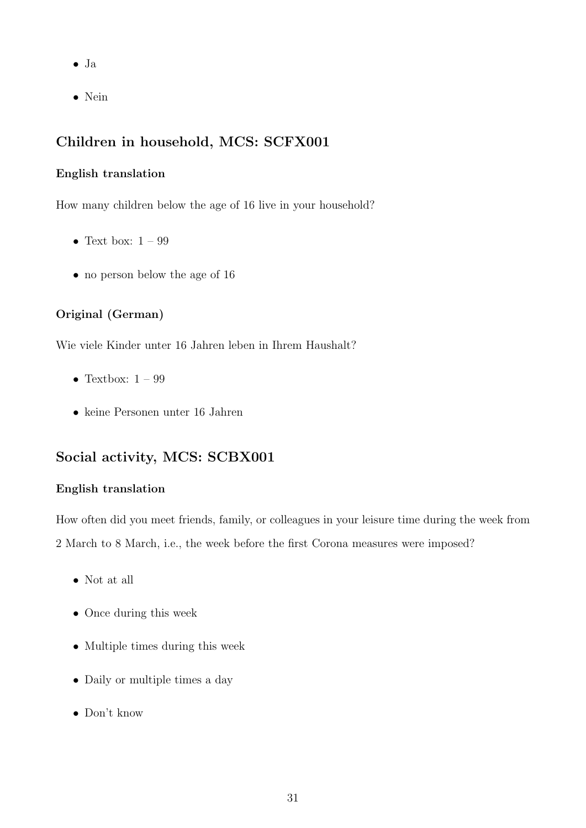- Ja
- Nein

## Children in household, MCS: SCFX001

#### English translation

How many children below the age of 16 live in your household?

- Text box:  $1 99$
- no person below the age of 16

## Original (German)

Wie viele Kinder unter 16 Jahren leben in Ihrem Haushalt?

- Textbox:  $1 99$
- keine Personen unter 16 Jahren

## Social activity, MCS: SCBX001

### English translation

How often did you meet friends, family, or colleagues in your leisure time during the week from 2 March to 8 March, i.e., the week before the first Corona measures were imposed?

- Not at all
- Once during this week
- Multiple times during this week
- Daily or multiple times a day
- Don't know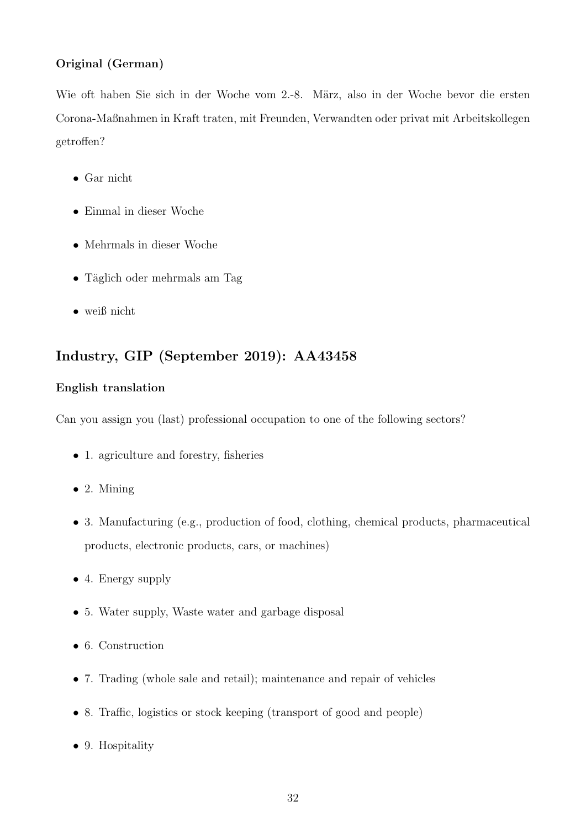## Original (German)

Wie oft haben Sie sich in der Woche vom 2.-8. März, also in der Woche bevor die ersten Corona-Maßnahmen in Kraft traten, mit Freunden, Verwandten oder privat mit Arbeitskollegen getroffen?

- Gar nicht
- Einmal in dieser Woche
- Mehrmals in dieser Woche
- Täglich oder mehrmals am Tag
- weiß nicht

## Industry, GIP (September 2019): AA43458

## English translation

Can you assign you (last) professional occupation to one of the following sectors?

- 1. agriculture and forestry, fisheries
- $\bullet$  2. Mining
- 3. Manufacturing (e.g., production of food, clothing, chemical products, pharmaceutical products, electronic products, cars, or machines)
- 4. Energy supply
- 5. Water supply, Waste water and garbage disposal
- 6. Construction
- 7. Trading (whole sale and retail); maintenance and repair of vehicles
- 8. Traffic, logistics or stock keeping (transport of good and people)
- 9. Hospitality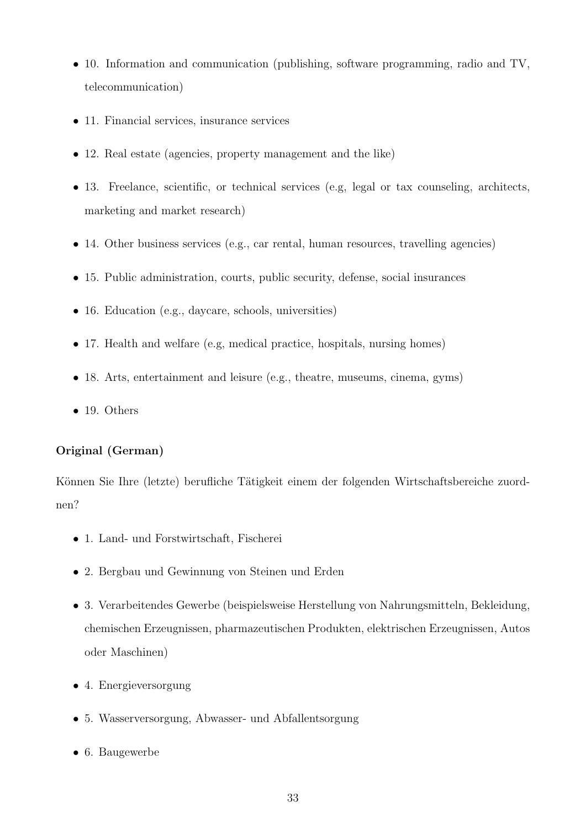- 10. Information and communication (publishing, software programming, radio and TV, telecommunication)
- 11. Financial services, insurance services
- 12. Real estate (agencies, property management and the like)
- 13. Freelance, scientific, or technical services (e.g, legal or tax counseling, architects, marketing and market research)
- 14. Other business services (e.g., car rental, human resources, travelling agencies)
- 15. Public administration, courts, public security, defense, social insurances
- 16. Education (e.g., daycare, schools, universities)
- 17. Health and welfare (e.g, medical practice, hospitals, nursing homes)
- 18. Arts, entertainment and leisure (e.g., theatre, museums, cinema, gyms)
- 19. Others

### Original (German)

Können Sie Ihre (letzte) berufliche Tätigkeit einem der folgenden Wirtschaftsbereiche zuordnen?

- 1. Land- und Forstwirtschaft, Fischerei
- 2. Bergbau und Gewinnung von Steinen und Erden
- 3. Verarbeitendes Gewerbe (beispielsweise Herstellung von Nahrungsmitteln, Bekleidung, chemischen Erzeugnissen, pharmazeutischen Produkten, elektrischen Erzeugnissen, Autos oder Maschinen)
- 4. Energieversorgung
- 5. Wasserversorgung, Abwasser- und Abfallentsorgung
- 6. Baugewerbe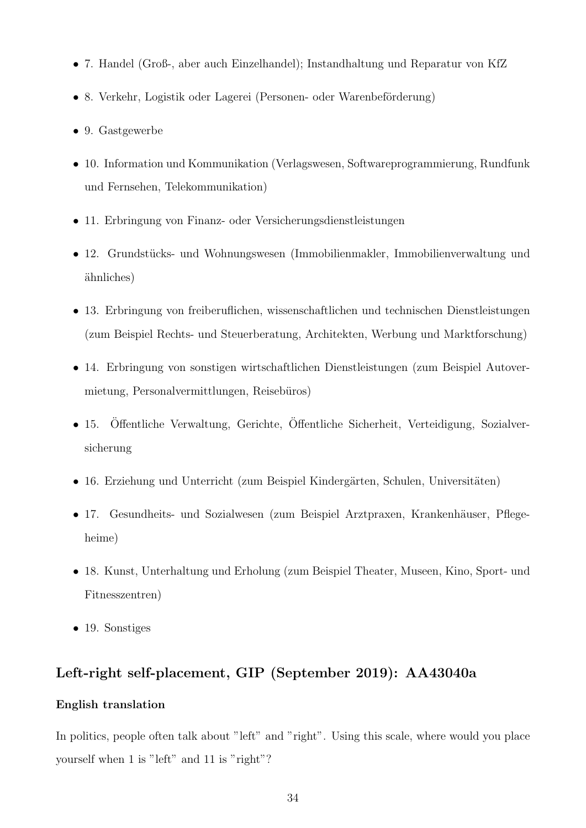- 7. Handel (Groß-, aber auch Einzelhandel); Instandhaltung und Reparatur von KfZ
- 8. Verkehr, Logistik oder Lagerei (Personen- oder Warenbeförderung)
- 9. Gastgewerbe
- 10. Information und Kommunikation (Verlagswesen, Softwareprogrammierung, Rundfunk und Fernsehen, Telekommunikation)
- 11. Erbringung von Finanz- oder Versicherungsdienstleistungen
- 12. Grundstücks- und Wohnungswesen (Immobilienmakler, Immobilienverwaltung und ¨ahnliches)
- 13. Erbringung von freiberuflichen, wissenschaftlichen und technischen Dienstleistungen (zum Beispiel Rechts- und Steuerberatung, Architekten, Werbung und Marktforschung)
- 14. Erbringung von sonstigen wirtschaftlichen Dienstleistungen (zum Beispiel Autovermietung, Personalvermittlungen, Reisebüros)
- 15. Öffentliche Verwaltung, Gerichte, Öffentliche Sicherheit, Verteidigung, Sozialversicherung
- 16. Erziehung und Unterricht (zum Beispiel Kindergärten, Schulen, Universitäten)
- 17. Gesundheits- und Sozialwesen (zum Beispiel Arztpraxen, Krankenhäuser, Pflegeheime)
- 18. Kunst, Unterhaltung und Erholung (zum Beispiel Theater, Museen, Kino, Sport- und Fitnesszentren)
- 19. Sonstiges

## Left-right self-placement, GIP (September 2019): AA43040a

#### English translation

In politics, people often talk about "left" and "right". Using this scale, where would you place yourself when 1 is "left" and 11 is "right"?